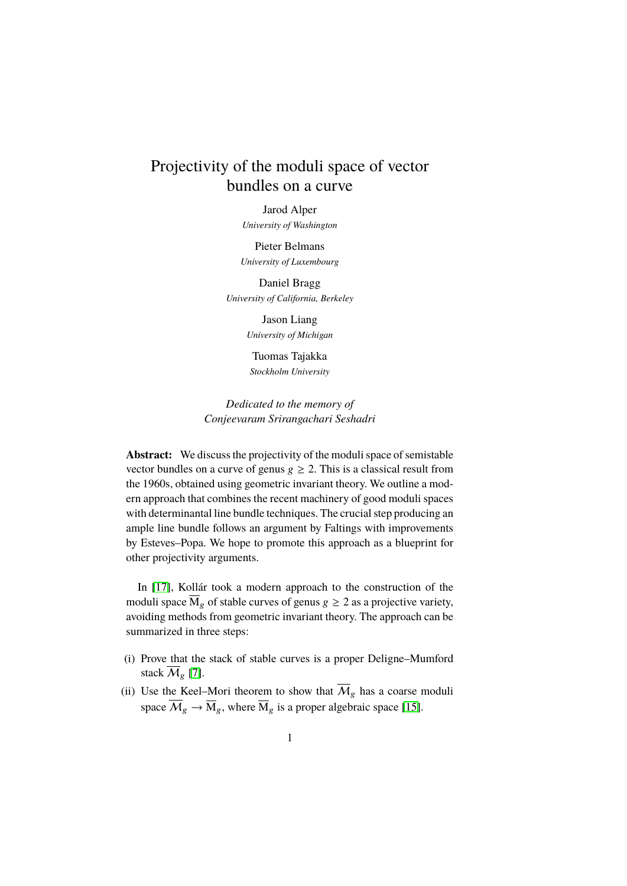# Projectivity of the moduli space of vector bundles on a curve

Jarod Alper

*University of Washington*

Pieter Belmans *University of Luxembourg*

Daniel Bragg *University of California, Berkeley*

> Jason Liang *University of Michigan*

Tuomas Tajakka *Stockholm University*

*Dedicated to the memory of Conjeevaram Srirangachari Seshadri*

**Abstract:** We discuss the projectivity of the moduli space of semistable vector bundles on a curve of genus  $g \ge 2$ . This is a classical result from the 1960s, obtained using geometric invariant theory. We outline a modern approach that combines the recent machinery of good moduli spaces with determinantal line bundle techniques. The crucial step producing an ample line bundle follows an argument by Faltings with improvements by Esteves–Popa. We hope to promote this approach as a blueprint for other projectivity arguments.

In [\[17\]](#page-35-0), Kollár took a modern approach to the construction of the moduli space  $\overline{M}_g$  of stable curves of genus  $g \geq 2$  as a projective variety, avoiding methods from geometric invariant theory. The approach can be summarized in three steps:

- (i) Prove that the stack of stable curves is a proper Deligne–Mumford stack  $\overline{\mathcal{M}}_{\rho}$  [\[7\]](#page-34-0).
- (ii) Use the Keel–Mori theorem to show that  $\overline{\mathcal{M}}_g$  has a coarse moduli space  $\overline{M}_g \to \overline{M}_g$ , where  $\overline{M}_g$  is a proper algebraic space [\[15\]](#page-35-1).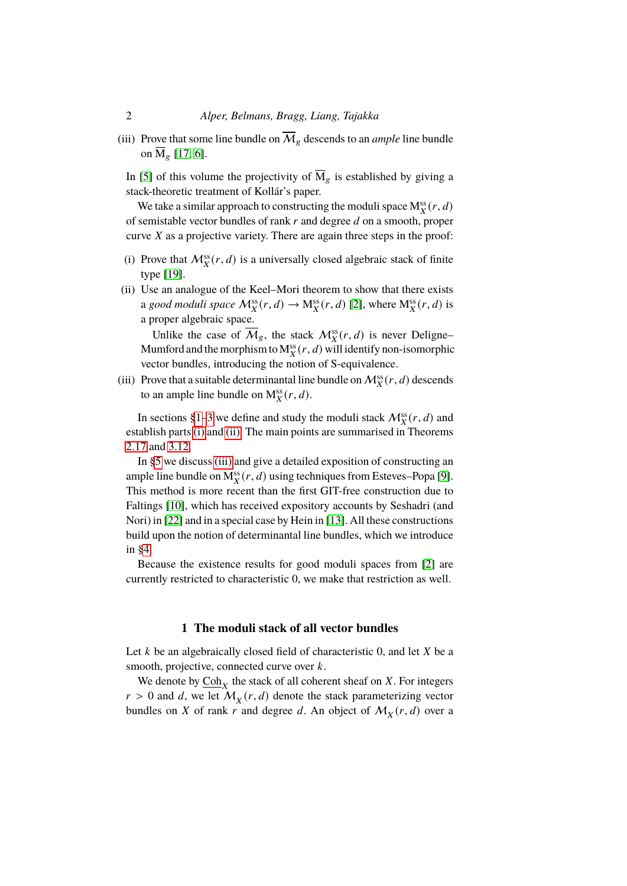(iii) Prove that some line bundle on  $\overline{\mathcal{M}}_g$  descends to an *ample* line bundle on  $M_g$  [\[17,](#page-35-0) [6\]](#page-34-1).

In [\[5\]](#page-34-2) of this volume the projectivity of  $\overline{M}_g$  is established by giving a stack-theoretic treatment of Kollár's paper.

We take a similar approach to constructing the moduli space  $M_X^{ss}(r, d)$ of semistable vector bundles of rank  $r$  and degree  $d$  on a smooth, proper curve  $X$  as a projective variety. There are again three steps in the proof:

- <span id="page-1-1"></span>(i) Prove that  $\mathcal{M}_X^{\text{ss}}(r, d)$  is a universally closed algebraic stack of finite type [\[19\]](#page-35-2).
- <span id="page-1-2"></span>(ii) Use an analogue of the Keel–Mori theorem to show that there exists a *good moduli space*  $\mathcal{M}_X^{\text{ss}}(r, d) \to \mathcal{M}_X^{\text{ss}}(r, d)$  [\[2\]](#page-34-3), where  $\mathcal{M}_X^{\text{ss}}(r, d)$  is a proper algebraic space.

Unlike the case of  $\overline{\mathcal{M}}_g$ , the stack  $\mathcal{M}^{\text{ss}}_X(r, d)$  is never Deligne-Mumford and the morphism to  $M_X^{\text{ss}}(r, d)$  will identify non-isomorphic vector bundles, introducing the notion of S-equivalence.

<span id="page-1-3"></span>(iii) Prove that a suitable determinantal line bundle on  $\mathcal{M}_X^{ss}(r, d)$  descends to an ample line bundle on  $M_X^{ss}(r, d)$ .

In sections [§1](#page-1-0)[–3](#page-11-0) we define and study the moduli stack  $\mathcal{M}_X^{\text{ss}}(r, d)$  and establish parts [\(i\)](#page-1-1) and [\(ii\).](#page-1-2) The main points are summarised in Theorems [2.17](#page-11-1) and [3.12.](#page-18-0)

In [§5](#page-25-0) we discuss [\(iii\)](#page-1-3) and give a detailed exposition of constructing an ample line bundle on  $M_X^{ss}(r, d)$  using techniques from Esteves–Popa [\[9\]](#page-34-4). This method is more recent than the first GIT-free construction due to Faltings [\[10\]](#page-34-5), which has received expository accounts by Seshadri (and Nori) in [\[22\]](#page-35-3) and in a special case by Hein in [\[13\]](#page-34-6). All these constructions build upon the notion of determinantal line bundles, which we introduce in [§4.](#page-20-0)

Because the existence results for good moduli spaces from [\[2\]](#page-34-3) are currently restricted to characteristic 0, we make that restriction as well.

## **1 The moduli stack of all vector bundles**

<span id="page-1-0"></span>Let  $k$  be an algebraically closed field of characteristic 0, and let  $X$  be a smooth, projective, connected curve over  $k$ .

We denote by  $\text{Coh}_X$  the stack of all coherent sheaf on X. For integers  $r > 0$  and d, we let  $\mathcal{M}_X(r, d)$  denote the stack parameterizing vector bundles on X of rank r and degree d. An object of  $M_X(r, d)$  over a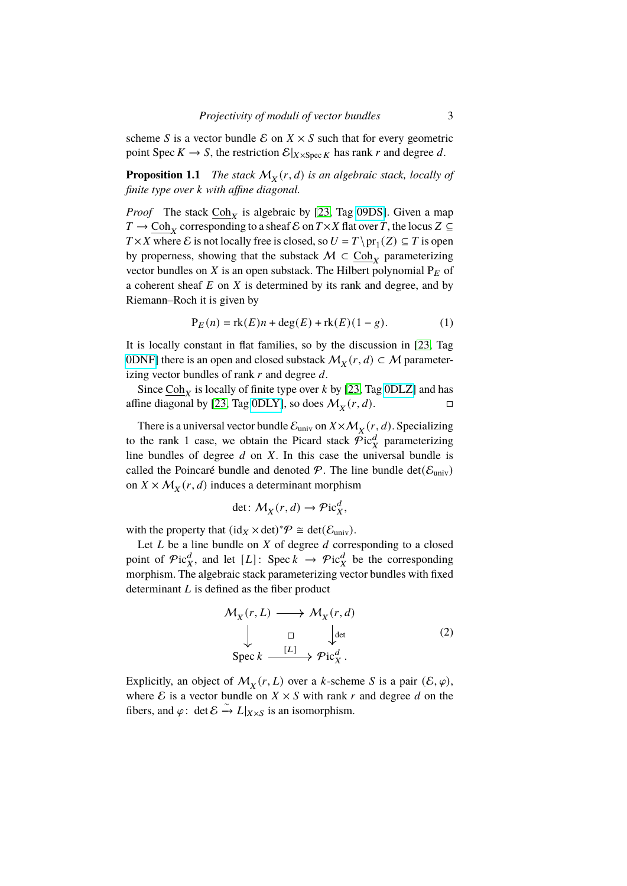scheme S is a vector bundle  $\mathcal E$  on  $X \times S$  such that for every geometric point Spec  $K \to S$ , the restriction  $\mathcal{E}|_{X \times \text{Spec } K}$  has rank r and degree d.

<span id="page-2-1"></span>**Proposition 1.1** *The stack*  $M_X(r, d)$  *is an algebraic stack, locally of finite type over k* with affine diagonal.

*Proof* The stack  $\underline{Coh}_X$  is algebraic by [\[23,](#page-35-4) Tag [09DS\]](https://stacks.math.columbia.edu/tag/09DS). Given a map  $T \to \underline{\text{Coh}}_X$  corresponding to a sheaf  $\mathcal E$  on  $T \times X$  flat over T, the locus  $Z \subseteq$  $T \times X$  where E is not locally free is closed, so  $U = T \cdot \text{pr}_1(Z) \subseteq T$  is open by properness, showing that the substack  $M \subset \underline{Coh}_X$  parameterizing vector bundles on X is an open substack. The Hilbert polynomial  $P_E$  of a coherent sheaf  $E$  on  $X$  is determined by its rank and degree, and by Riemann–Roch it is given by

$$
P_E(n) = rk(E)n + deg(E) + rk(E)(1 - g).
$$
 (1)

It is locally constant in flat families, so by the discussion in [\[23,](#page-35-4) Tag [0DNF\]](https://stacks.math.columbia.edu/tag/0DNF) there is an open and closed substack  $\mathcal{M}_X(r, d) \subset \mathcal{M}$  parameterizing vector bundles of rank  $r$  and degree  $d$ .

Since  $\frac{\text{Coh}_X}{\text{Sht}}$  is locally of finite type over k by [\[23,](#page-35-4) Tag [0DLZ\]](https://stacks.math.columbia.edu/tag/0DLZ) and has affine diagonal by [\[23,](#page-35-4) Tag [0DLY\]](https://stacks.math.columbia.edu/tag/0DLY), so does  $\mathcal{M}_X(r, d)$ .

There is a universal vector bundle  $\mathcal{E}_{\text{univ}}$  on  $X \times \mathcal{M}_X(r, d)$ . Specializing to the rank 1 case, we obtain the Picard stack  $\widehat{\mathcal{P}}$ ic $_{X}^{d}$  parameterizing line bundles of degree  $d$  on  $X$ . In this case the universal bundle is called the Poincaré bundle and denoted  $\mathcal{P}$ . The line bundle det( $\mathcal{E}_{\text{univ}}$ ) on  $X \times M_X(r, d)$  induces a determinant morphism

$$
\det: \mathcal{M}_X(r, d) \to \mathcal{P}ic_X^d,
$$

with the property that  $(id_X \times det)^* \mathcal{P} \cong det(\mathcal{E}_{\text{univ}})$ .

Let  $L$  be a line bundle on  $X$  of degree  $d$  corresponding to a closed point of  $\mathcal{P}$ ic $^d_X$ , and let [L]: Spec  $k \to \mathcal{P}$ ic $^d_X$  be the corresponding morphism. The algebraic stack parameterizing vector bundles with fixed determinant  $L$  is defined as the fiber product

<span id="page-2-0"></span>
$$
\mathcal{M}_X(r, L) \longrightarrow \mathcal{M}_X(r, d)
$$
\n
$$
\downarrow \qquad \qquad \square \qquad \qquad \downarrow \text{det}
$$
\n
$$
\text{Spec } k \xrightarrow{[L]} \mathcal{P}ic_X^d.
$$
\n(2)

Explicitly, an object of  $M_X(r, L)$  over a k-scheme S is a pair  $(\mathcal{E}, \varphi)$ , where  $\mathcal E$  is a vector bundle on  $X \times S$  with rank r and degree d on the fibers, and  $\varphi$ : det  $\mathcal{E} \stackrel{\sim}{\rightarrow} L|_{X \times S}$  is an isomorphism.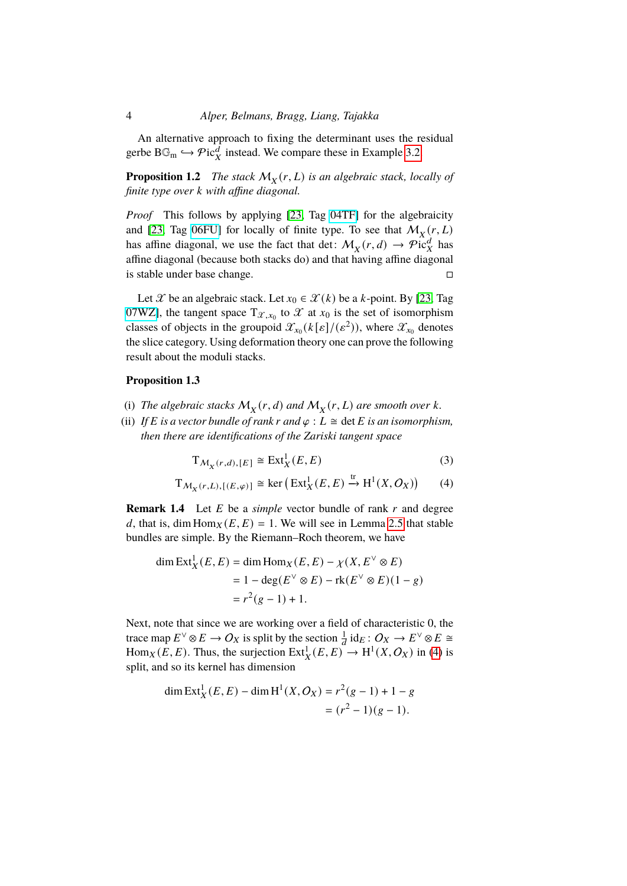An alternative approach to fixing the determinant uses the residual gerbe B $\mathbb{G}_{\text{m}} \hookrightarrow \mathcal{P}\text{ic}_{X}^{d}$  instead. We compare these in Example [3.2.](#page-12-0)

**Proposition 1.2** The stack  $M_X(r, L)$  is an algebraic stack, locally of *finite type over k with affine diagonal.* 

*Proof* This follows by applying [\[23,](#page-35-4) Tag [04TF\]](https://stacks.math.columbia.edu/tag/04TF) for the algebraicity and [\[23,](#page-35-4) Tag [06FU\]](https://stacks.math.columbia.edu/tag/06FU) for locally of finite type. To see that  $\mathcal{M}_X(r, L)$ has affine diagonal, we use the fact that det:  $M_X(r, d) \rightarrow \mathcal{P}^{\alpha \alpha}_{\text{ICX}}$  has affine diagonal (because both stacks do) and that having affine diagonal is stable under base change.

Let  $\mathcal X$  be an algebraic stack. Let  $x_0 \in \mathcal X(k)$  be a k-point. By [\[23,](#page-35-4) Tag [07WZ\]](https://stacks.math.columbia.edu/tag/07WZ), the tangent space  $T_{\mathcal{X},x_0}$  to  $\mathcal X$  at  $x_0$  is the set of isomorphism classes of objects in the groupoid  $\mathcal{X}_{x_0}(k[\varepsilon]/(\varepsilon^2))$ , where  $\mathcal{X}_{x_0}$  denotes the slice category. Using deformation theory one can prove the following result about the moduli stacks.

#### <span id="page-3-1"></span>**Proposition 1.3**

- (i) The algebraic stacks  $M_X(r, d)$  and  $M_X(r, L)$  are smooth over k.
- (ii) *If*  $E$  *is a vector bundle of rank r and*  $\varphi$  :  $L \cong$  det  $E$  *is an isomorphism, then there are identifications of the Zariski tangent space*

<span id="page-3-0"></span>
$$
T_{\mathcal{M}_X(r,d),[E]} \cong \text{Ext}^1_X(E,E) \tag{3}
$$

$$
T_{\mathcal{M}_X(r,L),[(E,\varphi)]} \cong \ker\left(\operatorname{Ext}^1_X(E,E) \stackrel{\text{tr}}{\to} H^1(X,\mathcal{O}_X)\right) \tag{4}
$$

<span id="page-3-2"></span>**Remark 1.4** Let *E* be a *simple* vector bundle of rank *r* and degree d, that is, dim  $\text{Hom}_X(E, E) = 1$ . We will see in Lemma [2.5](#page-5-0) that stable bundles are simple. By the Riemann–Roch theorem, we have

$$
\dim \text{Ext}^1_X(E, E) = \dim \text{Hom}_X(E, E) - \chi(X, E^{\vee} \otimes E)
$$
  
= 1 - \deg(E^{\vee} \otimes E) - \text{rk}(E^{\vee} \otimes E)(1 - g)  
= r<sup>2</sup>(g - 1) + 1.

Next, note that since we are working over a field of characteristic 0, the trace map  $E^{\vee} \otimes E \to O_X$  is split by the section  $\frac{1}{d}$  id $_E : O_X \to E^{\vee} \otimes E \cong$ Hom<sub>X</sub>( $\overline{E}$ ,  $\overline{E}$ ). Thus, the surjection  $\overline{Ext}^{1}_{X}(E, E) \rightarrow H^{1}(X, O_{X})$  in [\(4\)](#page-3-0) is split, and so its kernel has dimension

$$
\dim \operatorname{Ext}^1_X(E, E) - \dim \mathrm{H}^1(X, O_X) = r^2(g - 1) + 1 - g
$$
  
=  $(r^2 - 1)(g - 1)$ .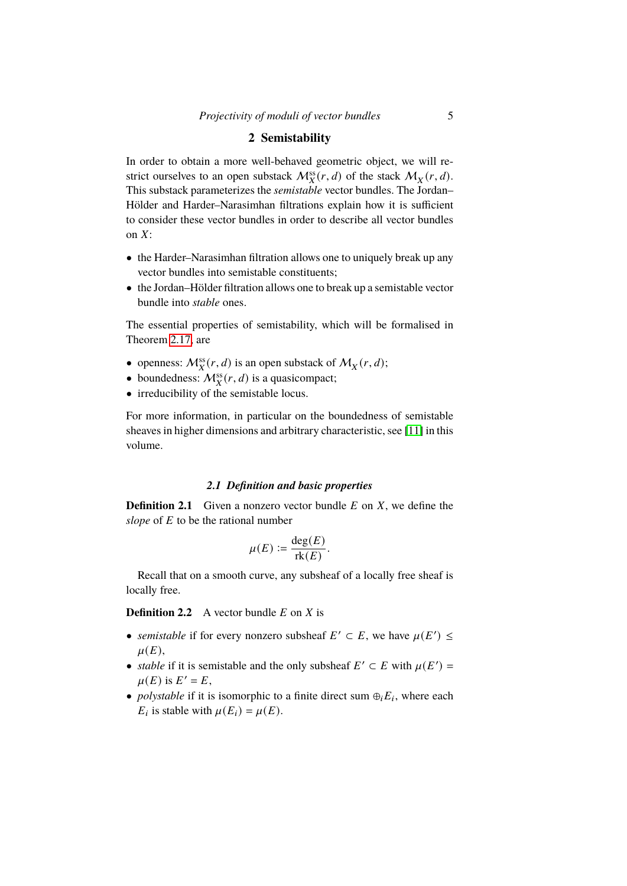# **2 Semistability**

In order to obtain a more well-behaved geometric object, we will restrict ourselves to an open substack  $\mathcal{M}_X^{\text{ss}}(r, d)$  of the stack  $\mathcal{M}_X(r, d)$ . This substack parameterizes the *semistable* vector bundles. The Jordan– Hölder and Harder–Narasimhan filtrations explain how it is sufficient to consider these vector bundles in order to describe all vector bundles on  $X$ :

- the Harder–Narasimhan filtration allows one to uniquely break up any vector bundles into semistable constituents;
- the Jordan–Hölder filtration allows one to break up a semistable vector bundle into *stable* ones.

The essential properties of semistability, which will be formalised in Theorem [2.17,](#page-11-1) are

- openness:  $\mathcal{M}_X^{ss}(r, d)$  is an open substack of  $\mathcal{M}_X(r, d)$ ;
- boundedness:  $\mathcal{M}_X^{ss}(r, d)$  is a quasicompact;
- irreducibility of the semistable locus.

For more information, in particular on the boundedness of semistable sheaves in higher dimensions and arbitrary characteristic, see [\[11\]](#page-34-7) in this volume.

## *2.1 Definition and basic properties*

**Definition 2.1** Given a nonzero vector bundle  $E$  on  $X$ , we define the *slope* of  $E$  to be the rational number

$$
\mu(E) := \frac{\deg(E)}{\text{rk}(E)}.
$$

Recall that on a smooth curve, any subsheaf of a locally free sheaf is locally free.

**Definition 2.2** A vector bundle  $E$  on  $X$  is

- *semistable* if for every nonzero subsheaf  $E' \subset E$ , we have  $\mu(E') \leq$  $\mu(E),$
- *stable* if it is semistable and the only subsheaf  $E' \subset E$  with  $\mu(E') =$  $\mu(E)$  is  $E' = E$ ,
- *polystable* if it is isomorphic to a finite direct sum  $\oplus_i E_i$ , where each  $E_i$  is stable with  $\mu(E_i) = \mu(E)$ .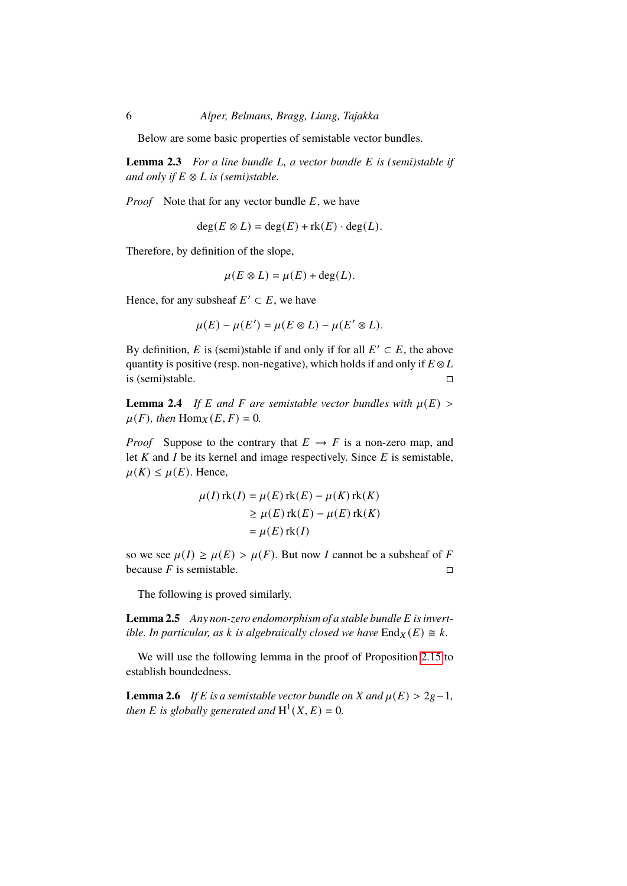Below are some basic properties of semistable vector bundles.

<span id="page-5-2"></span>**Lemma 2.3** For a line bundle L, a vector bundle E is (semi)stable if *and only if*  $E \otimes L$  *is (semi)stable.* 

*Proof* Note that for any vector bundle  $E$ , we have

 $deg(E \otimes L) = deg(E) + rk(E) \cdot deg(L).$ 

Therefore, by definition of the slope,

$$
\mu(E \otimes L) = \mu(E) + \deg(L).
$$

Hence, for any subsheaf  $E' \subset E$ , we have

$$
\mu(E) - \mu(E') = \mu(E \otimes L) - \mu(E' \otimes L).
$$

By definition, E is (semi)stable if and only if for all  $E' \subset E$ , the above quantity is positive (resp. non-negative), which holds if and only if  $E \otimes L$ is (semi)stable.  $\Box$ 

<span id="page-5-1"></span>**Lemma 2.4** *If*  $E$  *and*  $F$  *are semistable vector bundles with*  $\mu(E)$  >  $\mu(F)$ , then  $\text{Hom}_X(E, F) = 0$ .

*Proof* Suppose to the contrary that  $E \to F$  is a non-zero map, and let  $K$  and  $I$  be its kernel and image respectively. Since  $E$  is semistable,  $\mu(K) \leq \mu(E)$ . Hence,

$$
\mu(I) \operatorname{rk}(I) = \mu(E) \operatorname{rk}(E) - \mu(K) \operatorname{rk}(K)
$$
  
\n
$$
\ge \mu(E) \operatorname{rk}(E) - \mu(E) \operatorname{rk}(K)
$$
  
\n
$$
= \mu(E) \operatorname{rk}(I)
$$

so we see  $\mu(I) \ge \mu(E) > \mu(F)$ . But now *I* cannot be a subsheaf of *F* because  $F$  is semistable.

The following is proved similarly.

<span id="page-5-0"></span>**Lemma 2.5** Any non-zero endomorphism of a stable bundle E is invert*ible. In particular, as k is algebraically closed we have*  $\text{End}_X(E) \cong k$ .

We will use the following lemma in the proof of Proposition [2.15](#page-9-0) to establish boundedness.

<span id="page-5-3"></span>**Lemma 2.6** *If*  $E$  *is a semistable vector bundle on*  $X$  *and*  $\mu(E) > 2g - 1$ *, then E is globally generated and*  $H^1(X, E) = 0$ *.*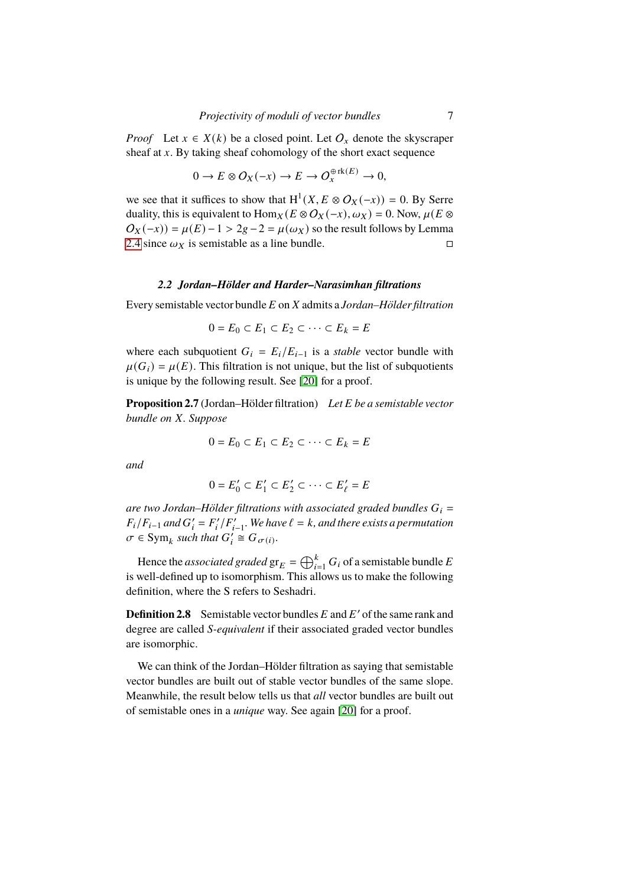*Proof* Let  $x \in X(k)$  be a closed point. Let  $O_x$  denote the skyscraper sheaf at  $x$ . By taking sheaf cohomology of the short exact sequence

$$
0 \to E \otimes O_X(-x) \to E \to O_x^{\oplus \mathrm{rk}(E)} \to 0,
$$

we see that it suffices to show that  $H^1(X, E \otimes O_X(-x)) = 0$ . By Serre duality, this is equivalent to  $\text{Hom}_X(E \otimes \mathcal{O}_X(-x), \omega_X) = 0$ . Now,  $\mu(E \otimes$  $O_X(-x) = \mu(E) - 1 > 2g - 2 = \mu(\omega_X)$  so the result follows by Lemma [2.4](#page-5-1) since  $\omega_X$  is semistable as a line bundle.

## *2.2 Jordan–Hölder and Harder–Narasimhan filtrations*

Every semistable vector bundle 𝐸 on 𝑋 admits a *Jordan–Hölder filtration*

$$
0 = E_0 \subset E_1 \subset E_2 \subset \cdots \subset E_k = E
$$

where each subquotient  $G_i = E_i/E_{i-1}$  is a *stable* vector bundle with  $\mu(G_i) = \mu(E)$ . This filtration is not unique, but the list of subquotients is unique by the following result. See [\[20\]](#page-35-5) for a proof.

**Proposition 2.7** (Jordan–Hölder filtration) Let E be a semistable vector *bundle on X. Suppose* 

$$
0 = E_0 \subset E_1 \subset E_2 \subset \cdots \subset E_k = E
$$

*and*

$$
0 = E'_0 \subset E'_1 \subset E'_2 \subset \cdots \subset E'_\ell = E
$$

are two Jordan–Hölder filtrations with associated graded bundles  $G_i$  =  $F_i/F_{i-1}$  and  $G'_i = F'_i/F'_{i-1}$ . We have  $\ell = k$ , and there exists a permutation  $\sigma \in \text{Sym}_k$  such that  $G'_i \cong G_{\sigma(i)}$ .

Hence the *associated graded*  $\operatorname{gr}_{E} = \bigoplus_{i=1}^k G_i$  of a semistable bundle  $E$ is well-defined up to isomorphism. This allows us to make the following definition, where the S refers to Seshadri.

**Definition 2.8** Semistable vector bundles  $E$  and  $E'$  of the same rank and degree are called *S-equivalent* if their associated graded vector bundles are isomorphic.

We can think of the Jordan–Hölder filtration as saying that semistable vector bundles are built out of stable vector bundles of the same slope. Meanwhile, the result below tells us that *all* vector bundles are built out of semistable ones in a *unique* way. See again [\[20\]](#page-35-5) for a proof.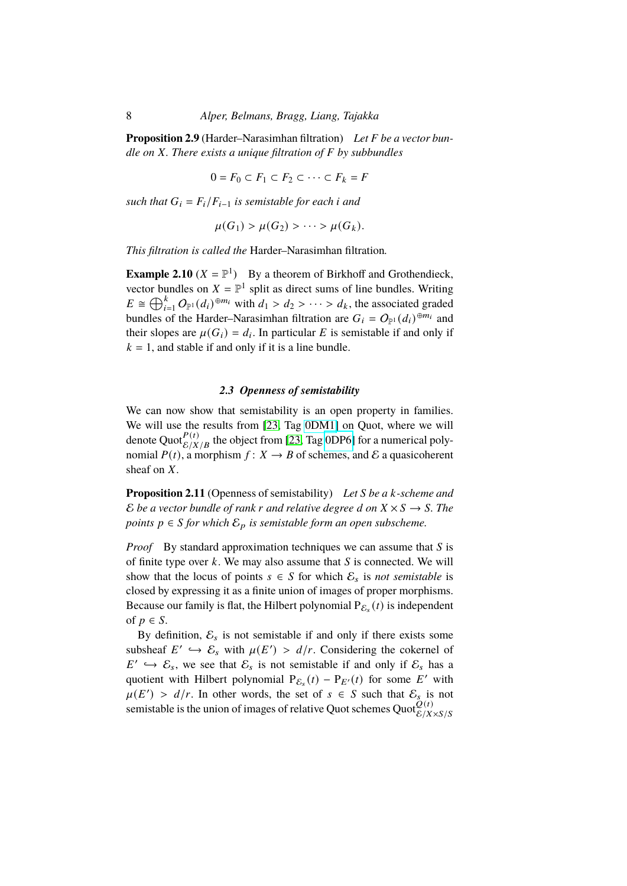**Proposition 2.9** (Harder–Narasimhan filtration) Let F be a vector bun*dle on* 𝑋*. There exists a unique filtration of* 𝐹 *by subbundles*

$$
0 = F_0 \subset F_1 \subset F_2 \subset \cdots \subset F_k = F
$$

*such that*  $G_i = F_i/F_{i-1}$  *is semistable for each i and* 

$$
\mu(G_1) > \mu(G_2) > \cdots > \mu(G_k).
$$

*This filtration is called the* Harder–Narasimhan filtration*.*

<span id="page-7-0"></span>**Example 2.10**  $(X = \mathbb{P}^1)$  By a theorem of Birkhoff and Grothendieck, vector bundles on  $X = \mathbb{P}^1$  split as direct sums of line bundles. Writing  $E \cong \bigoplus_{i=1}^k O_{\mathbb{P}^1}(d_i)^{\oplus m_i}$  with  $d_1 > d_2 > \cdots > d_k$ , the associated graded bundles of the Harder–Narasimhan filtration are  $G_i = O_{\mathbb{P}^1}(d_i)^{\oplus m_i}$  and their slopes are  $\mu(G_i) = d_i$ . In particular E is semistable if and only if  $k = 1$ , and stable if and only if it is a line bundle.

# *2.3 Openness of semistability*

We can now show that semistability is an open property in families. We will use the results from [\[23,](#page-35-4) Tag [0DM1\]](https://stacks.math.columbia.edu/tag/0DM1) on Quot, where we will denote Quot ${}_{\mathcal{E}/X/B}^{P(t)}$  the object from [\[23,](#page-35-4) Tag [0DP6\]](https://stacks.math.columbia.edu/tag/0DP6) for a numerical polynomial  $P(t)$ , a morphism  $f: X \to B$  of schemes, and E a quasicoherent sheaf on  $X$ .

<span id="page-7-1"></span>**Proposition 2.11** (Openness of semistability) *Let S* be a *k*-scheme and E be a vector bundle of rank r and relative degree d on  $X \times S \rightarrow S$ . The *points*  $p \in S$  *for which*  $\mathcal{E}_p$  *is semistable form an open subscheme.* 

*Proof* By standard approximation techniques we can assume that  $S$  is of finite type over  $k$ . We may also assume that  $S$  is connected. We will show that the locus of points  $s \in S$  for which  $\mathcal{E}_s$  is *not semistable* is closed by expressing it as a finite union of images of proper morphisms. Because our family is flat, the Hilbert polynomial  $P_{\mathcal{E}_s}(t)$  is independent of  $p \in S$ .

By definition,  $\mathcal{E}_s$  is not semistable if and only if there exists some subsheaf  $E' \hookrightarrow \mathcal{E}_s$  with  $\mu(E') > d/r$ . Considering the cokernel of  $E' \hookrightarrow \mathcal{E}_s$ , we see that  $\mathcal{E}_s$  is not semistable if and only if  $\mathcal{E}_s$  has a quotient with Hilbert polynomial  $P_{\mathcal{E}_s}(t) - P_{E'}(t)$  for some E' with  $\mu(E') > d/r$ . In other words, the set of  $s \in S$  such that  $\mathcal{E}_s$  is not semistable is the union of images of relative Quot schemes Quot $\mathcal{Q}(t)$ <sub>E/X×S/S</sub>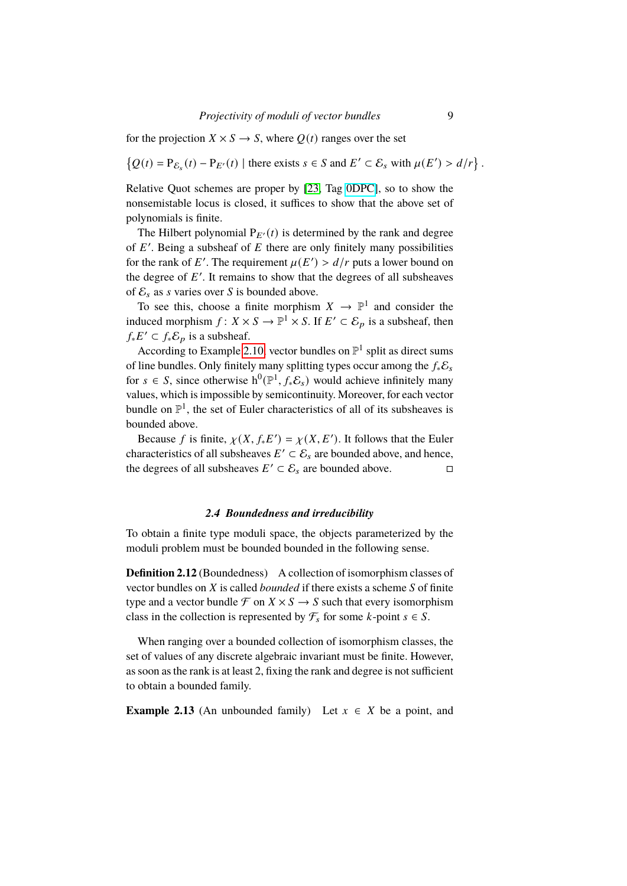for the projection  $X \times S \to S$ , where  $Q(t)$  ranges over the set

 $\{Q(t) = P_{\mathcal{E}_s}(t) - P_{E'}(t) \mid \text{there exists } s \in S \text{ and } E' \subset \mathcal{E}_s \text{ with } \mu(E') > d/r\}.$ 

Relative Quot schemes are proper by [\[23,](#page-35-4) Tag [0DPC\]](https://stacks.math.columbia.edu/tag/0DPC), so to show the nonsemistable locus is closed, it suffices to show that the above set of polynomials is finite.

The Hilbert polynomial  $P_{E'}(t)$  is determined by the rank and degree of  $E'$ . Being a subsheaf of  $E$  there are only finitely many possibilities for the rank of E'. The requirement  $\mu(E') > d/r$  puts a lower bound on the degree of  $E'$ . It remains to show that the degrees of all subsheaves of  $\mathcal{E}_s$  as s varies over S is bounded above.

To see this, choose a finite morphism  $X \to \mathbb{P}^1$  and consider the induced morphism  $f: X \times S \to \mathbb{P}^1 \times S$ . If  $E' \subset \mathcal{E}_p$  is a subsheaf, then  $f_* E' \subset f_* \mathcal{E}_p$  is a subsheaf.

According to Example [2.10,](#page-7-0) vector bundles on  $\mathbb{P}^1$  split as direct sums of line bundles. Only finitely many splitting types occur among the  $f_*\mathcal{E}_s$ for  $s \in S$ , since otherwise  $h^0(\mathbb{P}^1, f_* \mathcal{E}_s)$  would achieve infinitely many values, which is impossible by semicontinuity. Moreover, for each vector bundle on  $\mathbb{P}^1$ , the set of Euler characteristics of all of its subsheaves is bounded above.

Because f is finite,  $\chi(X, f_*E') = \chi(X, E')$ . It follows that the Euler characteristics of all subsheaves  $E' \subset \mathcal{E}_s$  are bounded above, and hence, the degrees of all subsheaves  $E' \subset \mathcal{E}_s$  are bounded above.

## *2.4 Boundedness and irreducibility*

To obtain a finite type moduli space, the objects parameterized by the moduli problem must be bounded bounded in the following sense.

**Definition 2.12** (Boundedness) A collection of isomorphism classes of vector bundles on *X* is called *bounded* if there exists a scheme *S* of finite type and a vector bundle  $\mathcal F$  on  $X \times S \to S$  such that every isomorphism class in the collection is represented by  $\mathcal{F}_s$  for some k-point  $s \in S$ .

When ranging over a bounded collection of isomorphism classes, the set of values of any discrete algebraic invariant must be finite. However, as soon as the rank is at least 2, fixing the rank and degree is not sufficient to obtain a bounded family.

<span id="page-8-0"></span>**Example 2.13** (An unbounded family) Let  $x \in X$  be a point, and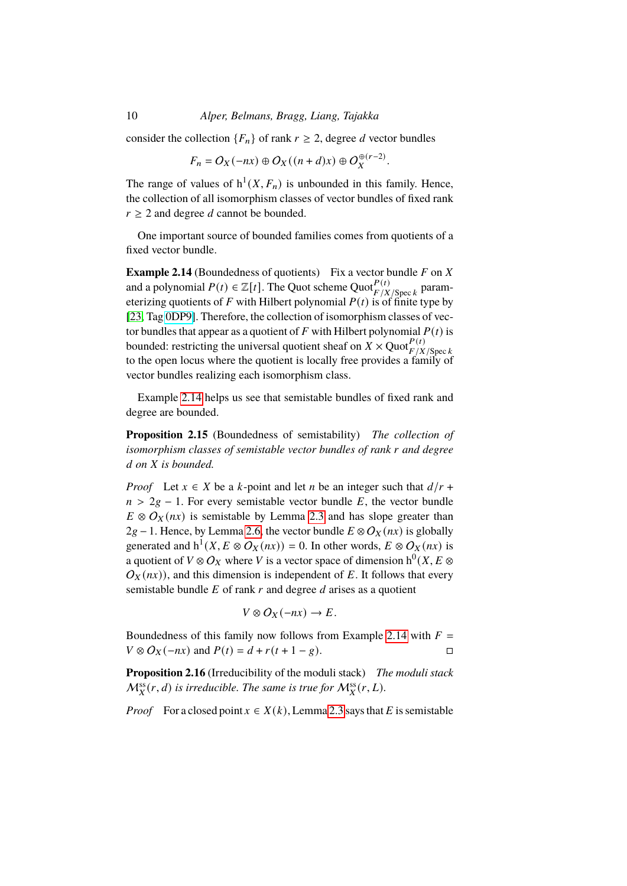consider the collection  ${F_n}$  of rank  $r \geq 2$ , degree d vector bundles

$$
F_n = O_X(-nx) \oplus O_X((n+d)x) \oplus O_X^{\oplus (r-2)}.
$$

The range of values of  $h^1(X, F_n)$  is unbounded in this family. Hence, the collection of all isomorphism classes of vector bundles of fixed rank  $r \geq 2$  and degree d cannot be bounded.

One important source of bounded families comes from quotients of a fixed vector bundle.

<span id="page-9-1"></span>**Example 2.14** (Boundedness of quotients) Fix a vector bundle  $F$  on  $\overline{X}$ and a polynomial  $P(t) \in \mathbb{Z}[t]$ . The Quot scheme Quot $_{F/X/\text{Spec } k}^{P(t)}$  parameterizing quotients of F with Hilbert polynomial  $P(t)$  is of finite type by [\[23,](#page-35-4) Tag [0DP9\]](https://stacks.math.columbia.edu/tag/0DP9). Therefore, the collection of isomorphism classes of vector bundles that appear as a quotient of  $F$  with Hilbert polynomial  $P(t)$  is bounded: restricting the universal quotient sheaf on  $\overrightarrow{X} \times \text{Quot}_{F/X/\text{Spec } k}^{P(t)}$ to the open locus where the quotient is locally free provides a family of vector bundles realizing each isomorphism class.

Example [2.14](#page-9-1) helps us see that semistable bundles of fixed rank and degree are bounded.

<span id="page-9-0"></span>**Proposition 2.15** (Boundedness of semistability) *The collection of isomorphism classes of semistable vector bundles of rank r and degree* d on X is bounded.

*Proof* Let  $x \in X$  be a k-point and let n be an integer such that  $d/r$  +  $n > 2g - 1$ . For every semistable vector bundle E, the vector bundle  $E \otimes O_X(nx)$  is semistable by Lemma [2.3](#page-5-2) and has slope greater than  $2g - 1$ . Hence, by Lemma [2.6,](#page-5-3) the vector bundle  $E \otimes O_X(nx)$  is globally generated and  $h^1(X, E \otimes O_X(nx)) = 0$ . In other words,  $E \otimes O_X(nx)$  is a quotient of  $V \otimes O_X$  where V is a vector space of dimension  $h^0(X, E \otimes$  $O_X(nx)$ ), and this dimension is independent of E. It follows that every semistable bundle  $E$  of rank  $r$  and degree  $d$  arises as a quotient

$$
V \otimes O_X(-nx) \to E.
$$

Boundedness of this family now follows from Example [2.14](#page-9-1) with  $F =$  $V \otimes O_X(-nx)$  and  $P(t) = d + r(t+1-g)$ .

<span id="page-9-2"></span>**Proposition 2.16** (Irreducibility of the moduli stack) *The moduli stack*  $\mathcal{M}_X^{\text{ss}}(r,d)$  is irreducible. The same is true for  $\mathcal{M}_X^{\text{ss}}(r,L)$ .

*Proof* For a closed point  $x \in X(k)$ , Lemma [2.3](#page-5-2) says that E is semistable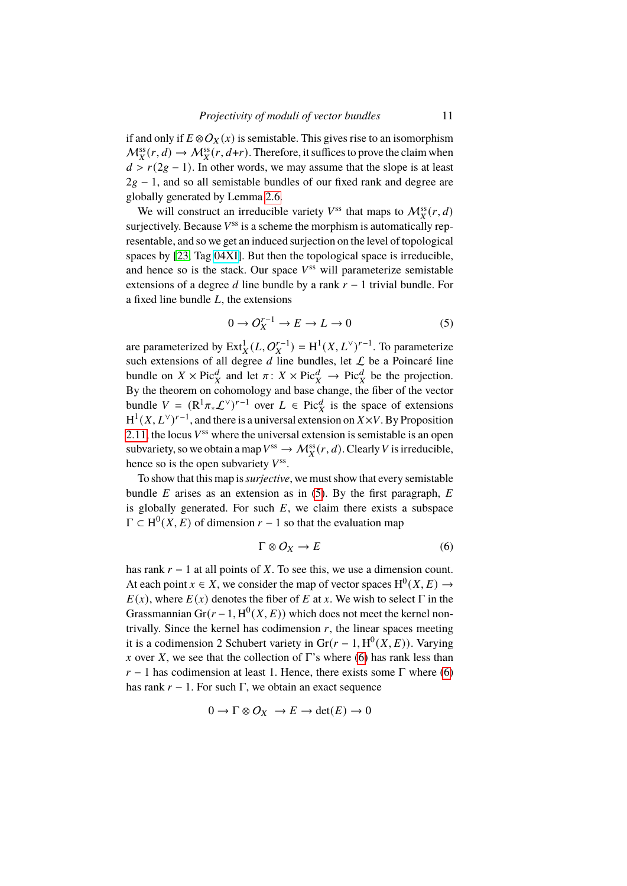if and only if  $E \otimes O_X(x)$  is semistable. This gives rise to an isomorphism  $M_X^{\text{ss}}(r, d) \to M_X^{\text{ss}}(r, d+r)$ . Therefore, it suffices to prove the claim when  $d > r(2g - 1)$ . In other words, we may assume that the slope is at least  $2g - 1$ , and so all semistable bundles of our fixed rank and degree are globally generated by Lemma [2.6.](#page-5-3)

We will construct an irreducible variety  $V^{\text{ss}}$  that maps to  $\mathcal{M}_X^{\text{ss}}(r, d)$ suriectively. Because  $V^{ss}$  is a scheme the morphism is automatically representable, and so we get an induced surjection on the level of topological spaces by [\[23,](#page-35-4) Tag [04XI\]](https://stacks.math.columbia.edu/tag/04XI). But then the topological space is irreducible, and hence so is the stack. Our space  $V^{ss}$  will parameterize semistable extensions of a degree  $d$  line bundle by a rank  $r - 1$  trivial bundle. For a fixed line bundle  $L$ , the extensions

<span id="page-10-0"></span>
$$
0 \to O_X^{r-1} \to E \to L \to 0 \tag{5}
$$

are parameterized by  $\text{Ext}^1_X(L, O_X^{r-1}) = H^1(X, L^{\vee})^{r-1}$ . To parameterize such extensions of all degree  $d$  line bundles, let  $L$  be a Poincaré line bundle on  $X \times \text{Pic}^d_X$  and let  $\pi: X \times \text{Pic}^d_X \to \text{Pic}^d_X$  be the projection. By the theorem on cohomology and base change, the fiber of the vector bundle  $V = (\mathbb{R}^1 \pi_* \mathcal{L}^{\vee})^{r-1}$  over  $L \in \text{Pic}^d_X$  is the space of extensions  $H^1(X, L^{\vee})^{r-1}$ , and there is a universal extension on  $X \times V$ . By Proposition [2.11,](#page-7-1) the locus  $V^{ss}$  where the universal extension is semistable is an open subvariety, so we obtain a map  $V^{ss} \to \mathcal{M}_X^{ss}(r, d)$ . Clearly V is irreducible, hence so is the open subvariety  $V^{ss}$ .

To show that this map is*surjective*, we must show that every semistable bundle  $E$  arises as an extension as in [\(5\)](#page-10-0). By the first paragraph,  $E$ is globally generated. For such  $E$ , we claim there exists a subspace  $\Gamma \subset H^0(X, E)$  of dimension  $r - 1$  so that the evaluation map

<span id="page-10-1"></span>
$$
\Gamma \otimes O_X \to E \tag{6}
$$

has rank  $r - 1$  at all points of X. To see this, we use a dimension count. At each point  $x \in X$ , we consider the map of vector spaces  $H^0(X, E) \to$  $E(x)$ , where  $E(x)$  denotes the fiber of E at x. We wish to select  $\Gamma$  in the Grassmannian  $Gr(r-1, H^0(X, E))$  which does not meet the kernel nontrivally. Since the kernel has codimension  $r$ , the linear spaces meeting it is a codimension 2 Schubert variety in  $Gr(r-1, H^0(X, E))$ . Varying x over X, we see that the collection of  $\Gamma$ 's where [\(6\)](#page-10-1) has rank less than  $r - 1$  has codimension at least 1. Hence, there exists some  $\Gamma$  where [\(6\)](#page-10-1) has rank  $r - 1$ . For such Γ, we obtain an exact sequence

$$
0 \to \Gamma \otimes O_X \to E \to \det(E) \to 0
$$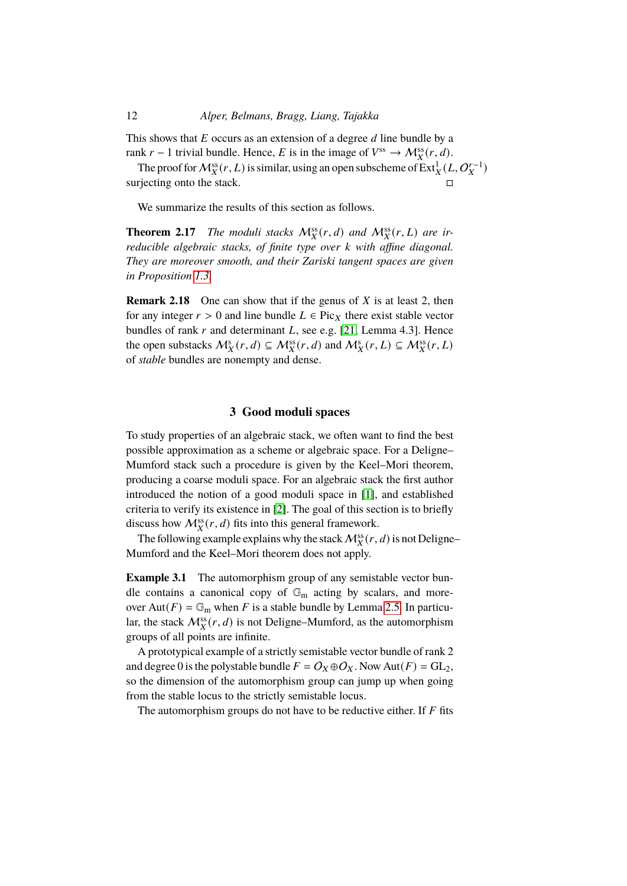This shows that  $E$  occurs as an extension of a degree  $d$  line bundle by a rank  $r-1$  trivial bundle. Hence, E is in the image of  $V^{ss} \to M_X^{ss}(r, d)$ .

The proof for  $\mathcal{M}_X^{ss}(r,L)$  is similar, using an open subscheme of  $\operatorname{Ext}^1_X(L, \mathcal{O}_X^{r-1})$ surjecting onto the stack.

We summarize the results of this section as follows.

<span id="page-11-1"></span>**Theorem 2.17** *The moduli stacks*  $M_X^{ss}(r, d)$  *and*  $M_X^{ss}(r, L)$  *are irreducible algebraic stacks, of finite type over k with affine diagonal. They are moreover smooth, and their Zariski tangent spaces are given in Proposition [1.3.](#page-3-1)*

<span id="page-11-3"></span>**Remark 2.18** One can show that if the genus of X is at least 2, then for any integer  $r > 0$  and line bundle  $L \in Pic_X$  there exist stable vector bundles of rank  $r$  and determinant  $L$ , see e.g. [\[21,](#page-35-6) Lemma 4.3]. Hence the open substacks  $M_X^s(r, d) \subseteq M_X^{ss}(r, d)$  and  $M_X^s(r, L) \subseteq M_X^{ss}(r, L)$ of *stable* bundles are nonempty and dense.

# **3 Good moduli spaces**

<span id="page-11-0"></span>To study properties of an algebraic stack, we often want to find the best possible approximation as a scheme or algebraic space. For a Deligne– Mumford stack such a procedure is given by the Keel–Mori theorem, producing a coarse moduli space. For an algebraic stack the first author introduced the notion of a good moduli space in [\[1\]](#page-34-8), and established criteria to verify its existence in [\[2\]](#page-34-3). The goal of this section is to briefly discuss how  $\mathcal{M}_X^{ss}(r, d)$  fits into this general framework.

The following example explains why the stack  $\mathcal{M}_X^{\text{ss}}(r, d)$  is not Deligne– Mumford and the Keel–Mori theorem does not apply.

<span id="page-11-2"></span>**Example 3.1** The automorphism group of any semistable vector bundle contains a canonical copy of  $\mathbb{G}_m$  acting by scalars, and moreover Aut( $F$ ) =  $\mathbb{G}_{\mathrm{m}}$  when F is a stable bundle by Lemma [2.5.](#page-5-0) In particular, the stack  $\mathcal{M}_X^{ss}(r, d)$  is not Deligne–Mumford, as the automorphism groups of all points are infinite.

A prototypical example of a strictly semistable vector bundle of rank 2 and degree 0 is the polystable bundle  $F = O_X \oplus O_X$ . Now Aut $(F) = GL_2$ , so the dimension of the automorphism group can jump up when going from the stable locus to the strictly semistable locus.

The automorphism groups do not have to be reductive either. If  $F$  fits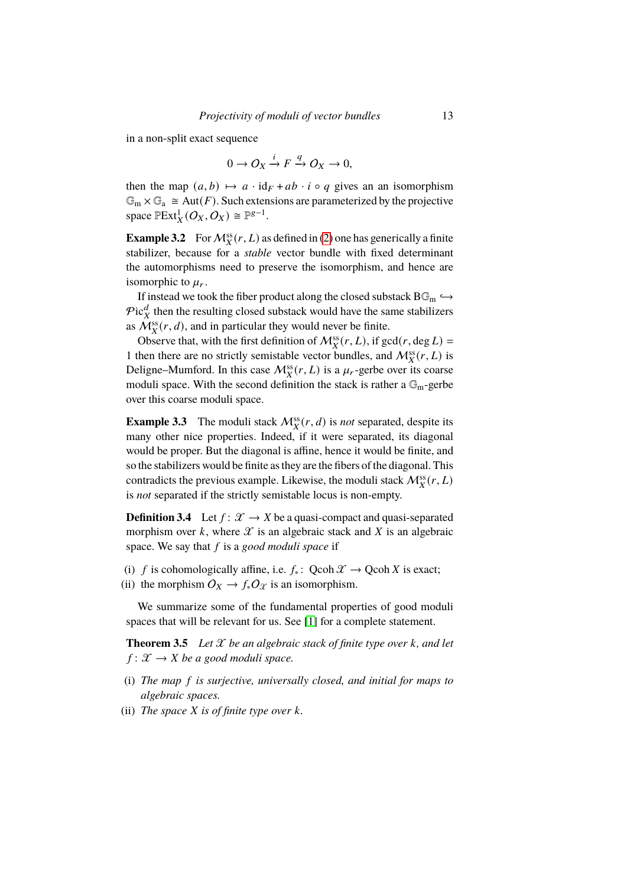in a non-split exact sequence

$$
0 \to O_X \xrightarrow{i} F \xrightarrow{q} O_X \to 0,
$$

then the map  $(a, b) \mapsto a \cdot id_F + ab \cdot i \circ q$  gives an an isomorphism  $\mathbb{G}_{\mathrm{m}} \times \mathbb{G}_{\mathrm{a}} \cong \mathrm{Aut}(F)$ . Such extensions are parameterized by the projective space  $\mathbb{P}Ext_X^1(O_X, O_X) \cong \mathbb{P}^{g-1}$ .

<span id="page-12-0"></span>**Example 3.2** For  $\mathcal{M}_X^{\text{ss}}(r, L)$  as defined in [\(2\)](#page-2-0) one has generically a finite stabilizer, because for a *stable* vector bundle with fixed determinant the automorphisms need to preserve the isomorphism, and hence are isomorphic to  $\mu_r$ .

If instead we took the fiber product along the closed substack  $\text{BG}_{m} \hookrightarrow$  $Pic_X^d$  then the resulting closed substack would have the same stabilizers as  $\mathcal{M}_X^{\text{ss}}(r, d)$ , and in particular they would never be finite.

Observe that, with the first definition of  $\mathcal{M}_X^{ss}(r,L)$ , if  $gcd(r,\deg L)$ 1 then there are no strictly semistable vector bundles, and  $\mathcal{M}_X^{ss}(r,L)$  is Deligne–Mumford. In this case  $\mathcal{M}_X^{ss}(r,L)$  is a  $\mu_r$ -gerbe over its coarse moduli space. With the second definition the stack is rather a  $\mathbb{G}_{m}$ -gerbe over this coarse moduli space.

<span id="page-12-1"></span>**Example 3.3** The moduli stack  $M_X^{\text{ss}}(r, d)$  is *not* separated, despite its many other nice properties. Indeed, if it were separated, its diagonal would be proper. But the diagonal is affine, hence it would be finite, and so the stabilizers would be finite as they are the fibers of the diagonal. This contradicts the previous example. Likewise, the moduli stack  $\mathcal{M}_X^{ss}(r,L)$ is *not* separated if the strictly semistable locus is non-empty.

**Definition 3.4** Let  $f: \mathcal{X} \to X$  be a quasi-compact and quasi-separated morphism over  $k$ , where  $\mathcal X$  is an algebraic stack and  $X$  is an algebraic space. We say that f is a *good moduli space* if

- (i) f is cohomologically affine, i.e.  $f_*$ : Qcoh  $\mathcal{X} \to \text{Qcoh } X$  is exact;
- (ii) the morphism  $O_X \to f_* O_{\mathcal{X}}$  is an isomorphism.

We summarize some of the fundamental properties of good moduli spaces that will be relevant for us. See [\[1\]](#page-34-8) for a complete statement.

<span id="page-12-2"></span>**Theorem 3.5** Let  $\mathcal X$  be an algebraic stack of finite type over  $k$ , and let  $f: \mathcal{X} \to X$  be a good moduli space.

- (i) *The map* 𝑓 *is surjective, universally closed, and initial for maps to algebraic spaces.*
- (ii) *The space X* is of finite type over *k*.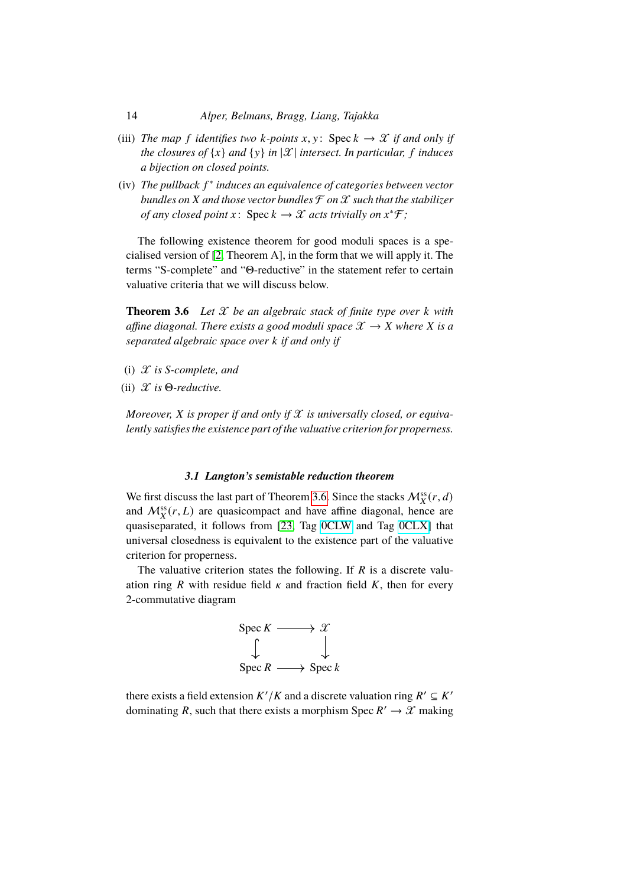- (iii) *The map* f *identifies two*  $k$ -points  $x, y$ : Spec  $k \rightarrow \mathcal{X}$  *if and only if the closures of*  $\{x\}$  *and*  $\{y\}$  *in*  $|\mathcal{X}|$  *intersect. In particular, f induces a bijection on closed points.*
- (iv) The pullback  $f^*$  induces an equivalence of categories between vector *bundles on* X *and those vector bundles*  $\mathcal F$  *on*  $\mathcal X$  *such that the stabilizer of any closed point*  $x: \text{Spec } k \to \mathcal{X}$  *acts trivially on*  $x^* \mathcal{F}$ ;

The following existence theorem for good moduli spaces is a specialised version of [\[2,](#page-34-3) Theorem A], in the form that we will apply it. The terms "S-complete" and "Θ-reductive" in the statement refer to certain valuative criteria that we will discuss below.

<span id="page-13-0"></span>**Theorem 3.6** *Let*  $X$  *be an algebraic stack of finite type over*  $k$  *with affine diagonal. There exists a good moduli space*  $\mathcal{X} \to X$  *where* X *is a separated algebraic space over* 𝑘 *if and only if*

- (i)  $\mathscr X$  *is S-complete, and*
- (ii) 𝒳 *is* Θ*-reductive.*

*Moreover,*  $X$  *is proper if and only if*  $X$  *is universally closed, or equivalently satisfies the existence part of the valuative criterion for properness.*

## *3.1 Langton's semistable reduction theorem*

We first discuss the last part of Theorem [3.6.](#page-13-0) Since the stacks  $\mathcal{M}_X^{ss}(r, d)$ and  $\mathcal{M}_X^{\text{ss}}(r, L)$  are quasicompact and have affine diagonal, hence are quasiseparated, it follows from [\[23,](#page-35-4) Tag [0CLW](https://stacks.math.columbia.edu/tag/0CLW) and Tag [0CLX\]](https://stacks.math.columbia.edu/tag/0CLX) that universal closedness is equivalent to the existence part of the valuative criterion for properness.

The valuative criterion states the following. If  $R$  is a discrete valuation ring R with residue field  $\kappa$  and fraction field K, then for every 2-commutative diagram



there exists a field extension  $K'/K$  and a discrete valuation ring  $R' \subseteq K'$ dominating R, such that there exists a morphism Spec  $R' \to \mathcal{X}$  making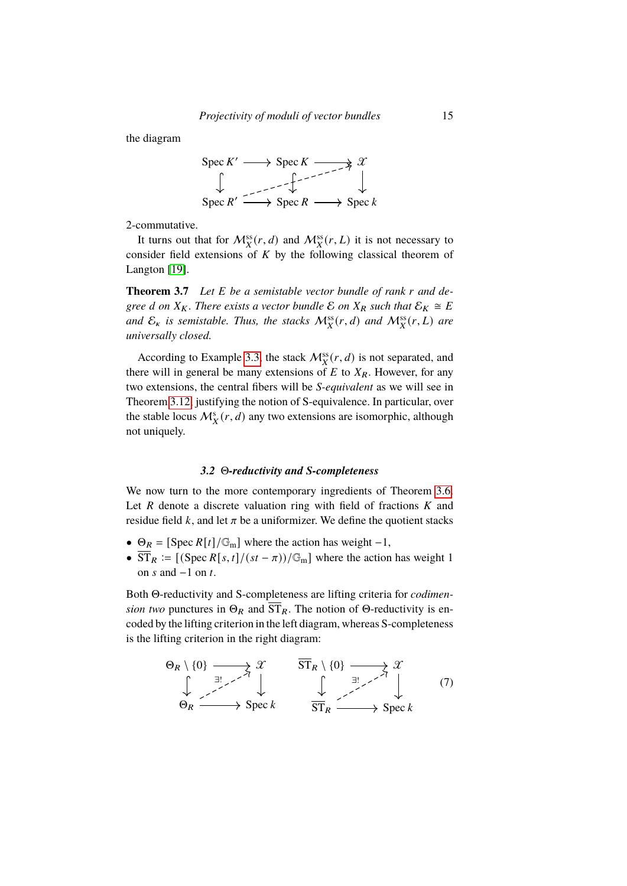the diagram



2-commutative.

It turns out that for  $\mathcal{M}_X^{ss}(r, d)$  and  $\mathcal{M}_X^{ss}(r, L)$  it is not necessary to consider field extensions of  $K$  by the following classical theorem of Langton [\[19\]](#page-35-2).

<span id="page-14-0"></span>**Theorem 3.7** Let E be a semistable vector bundle of rank r and de*gree d* on  $X_K$ . There exists a vector bundle  $\mathcal{E}$  on  $X_R$  such that  $\mathcal{E}_K \cong E$ and  $\mathcal{E}_\kappa$  is semistable. Thus, the stacks  $\mathcal{M}^{\text{ss}}_X(r,d)$  and  $\mathcal{M}^{\text{ss}}_X(r,L)$  are *universally closed.*

According to Example [3.3,](#page-12-1) the stack  $\mathcal{M}_X^{ss}(r, d)$  is not separated, and there will in general be many extensions of  $E$  to  $X_R$ . However, for any two extensions, the central fibers will be *S-equivalent* as we will see in Theorem [3.12,](#page-18-0) justifying the notion of S-equivalence. In particular, over the stable locus  $\mathcal{M}_X^s(r, d)$  any two extensions are isomorphic, although not uniquely.

# *3.2* Θ*-reductivity and S-completeness*

We now turn to the more contemporary ingredients of Theorem [3.6.](#page-13-0) Let  $R$  denote a discrete valuation ring with field of fractions  $K$  and residue field  $k$ , and let  $\pi$  be a uniformizer. We define the quotient stacks

- $\Theta_R = [\text{Spec } R[t]/\mathbb{G}_m]$  where the action has weight -1,
- $\overline{ST}_R := \left[ \frac{(Spec \, R[s, t]/(st \pi))}{\mathbb{G}_m} \right]$  where the action has weight 1 on  $s$  and  $-1$  on  $t$ .

Both Θ-reductivity and S-completeness are lifting criteria for *codimension two* punctures in  $\Theta_R$  and  $\overline{ST}_R$ . The notion of  $\Theta$ -reductivity is encoded by the lifting criterion in the left diagram, whereas S-completeness is the lifting criterion in the right diagram:

$$
\Theta_R \setminus \{0\} \longrightarrow \mathcal{X} \qquad \overrightarrow{\mathrm{ST}}_R \setminus \{0\} \longrightarrow \mathcal{X} \qquad (7)
$$
\n
$$
\Theta_R \longrightarrow \mathrm{Spec} \, k \qquad \overrightarrow{\mathrm{ST}}_R \longrightarrow \mathrm{Spec} \, k
$$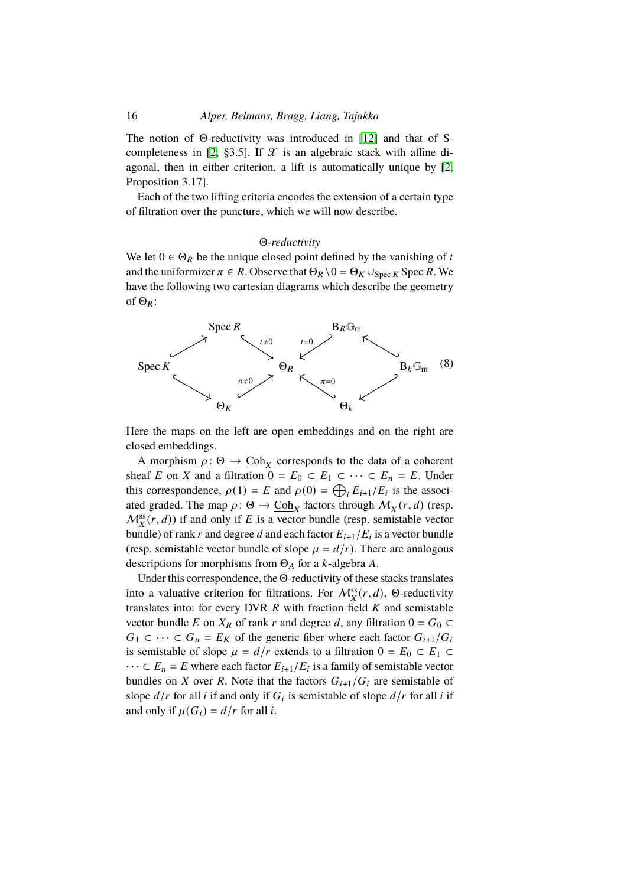# 16 *Alper, Belmans, Bragg, Liang, Tajakka*

The notion of Θ-reductivity was introduced in [\[12\]](#page-34-9) and that of S-completeness in [\[2,](#page-34-3) §3.5]. If  $\mathcal X$  is an algebraic stack with affine diagonal, then in either criterion, a lift is automatically unique by [\[2,](#page-34-3) Proposition 3.17].

Each of the two lifting criteria encodes the extension of a certain type of filtration over the puncture, which we will now describe.

## Θ*-reductivity*

We let  $0 \in \Theta_R$  be the unique closed point defined by the vanishing of t and the uniformizer  $\pi \in R$ . Observe that  $\Theta_R \setminus 0 = \Theta_K \cup_{\text{Spec } K}$  Spec R. We have the following two cartesian diagrams which describe the geometry of  $\Theta_R$ :



Here the maps on the left are open embeddings and on the right are closed embeddings.

A morphism  $\rho: \Theta \to \underline{\text{Coh}}_X$  corresponds to the data of a coherent sheaf E on X and a filtration  $0 = E_0 \subset E_1 \subset \cdots \subset E_n = E$ . Under this correspondence,  $\rho(1) = E$  and  $\rho(0) = \bigoplus_i E_{i+1}/E_i$  is the associated graded. The map  $\rho: \Theta \to \underline{\text{Coh}}_X$  factors through  $\mathcal{M}_X(r, d)$  (resp.  $M_X^{\text{ss}}(r, d)$ ) if and only if E is a vector bundle (resp. semistable vector bundle) of rank r and degree d and each factor  $E_{i+1}/E_i$  is a vector bundle (resp. semistable vector bundle of slope  $\mu = d/r$ ). There are analogous descriptions for morphisms from  $\Theta_A$  for a *k*-algebra *A*.

<span id="page-15-0"></span>Under this correspondence, the Θ-reductivity of these stacks translates into a valuative criterion for filtrations. For  $\mathcal{M}_X^{ss}(r, d)$ , Θ-reductivity translates into: for every DVR  $R$  with fraction field  $K$  and semistable vector bundle E on  $X_R$  of rank r and degree d, any filtration  $0 = G_0 \subset$  $G_1 \subset \cdots \subset G_n = E_K$  of the generic fiber where each factor  $G_{i+1}/G_i$ is semistable of slope  $\mu = d/r$  extends to a filtration  $0 = E_0 \subset E_1 \subset$  $\cdots \subset E_n = E$  where each factor  $E_{i+1}/E_i$  is a family of semistable vector bundles on X over R. Note that the factors  $G_{i+1}/G_i$  are semistable of slope  $d/r$  for all i if and only if  $G_i$  is semistable of slope  $d/r$  for all i if and only if  $\mu(G_i) = d/r$  for all *i*.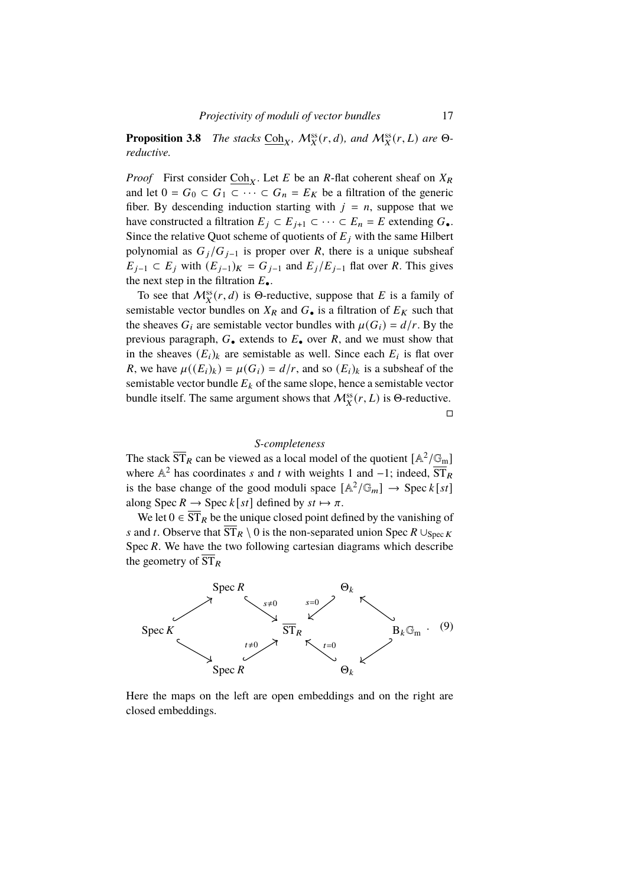**Proposition 3.8** *The stacks*  $\underline{Coh}_X$ *,*  $\mathcal{M}_X^{ss}(r, d)$ *, and*  $\mathcal{M}_X^{ss}(r, L)$  *are*  $\Theta$ *reductive.*

*Proof* First consider  $\underline{Coh}_X$ . Let E be an R-flat coherent sheaf on  $X_R$ and let  $0 = G_0 \subset G_1 \subset \cdots \subset G_n = E_K$  be a filtration of the generic fiber. By descending induction starting with  $j = n$ , suppose that we have constructed a filtration  $E_j \subset E_{j+1} \subset \cdots \subset E_n = E$  extending  $G_{\bullet}$ . Since the relative Quot scheme of quotients of  $E_i$  with the same Hilbert polynomial as  $G_j/G_{j-1}$  is proper over R, there is a unique subsheaf  $E_{j-1}$  ⊂  $E_j$  with  $(E_{j-1})_K = G_{j-1}$  and  $E_j/E_{j-1}$  flat over R. This gives the next step in the filtration  $E_{\bullet}$ .

To see that  $\mathcal{M}_X^{\text{ss}}(r, d)$  is  $\Theta$ -reductive, suppose that E is a family of semistable vector bundles on  $X_R$  and  $G_{\bullet}$  is a filtration of  $E_K$  such that the sheaves  $G_i$  are semistable vector bundles with  $\mu(G_i) = d/r$ . By the previous paragraph,  $G_{\bullet}$  extends to  $E_{\bullet}$  over  $R$ , and we must show that in the sheaves  $(E_i)_k$  are semistable as well. Since each  $E_i$  is flat over R, we have  $\mu((E_i)_k) = \mu(G_i) = d/r$ , and so  $(E_i)_k$  is a subsheaf of the semistable vector bundle  $E_k$  of the same slope, hence a semistable vector bundle itself. The same argument shows that  $\mathcal{M}_X^{\text{ss}}(r,L)$  is  $\Theta$ -reductive.

 $\Box$ 

# *S-completeness*

The stack  $\overline{ST}_R$  can be viewed as a local model of the quotient  $[A^2/G_m]$ where  $\mathbb{A}^2$  has coordinates s and t with weights 1 and -1; indeed,  $\overline{\text{ST}}_R$ is the base change of the good moduli space  $[A^2/\mathbb{G}_m] \to \text{Spec } k[st]$ along Spec  $R \to \text{Spec } k[st]$  defined by  $st \mapsto \pi$ .

We let  $0 \in \overline{ST}_R$  be the unique closed point defined by the vanishing of s and t. Observe that  $\overline{ST}_R \setminus 0$  is the non-separated union Spec  $R \cup_{\text{Spec } K}$ Spec  $R$ . We have the two following cartesian diagrams which describe the geometry of  $\overline{\text{ST}}_R$ 



Here the maps on the left are open embeddings and on the right are closed embeddings.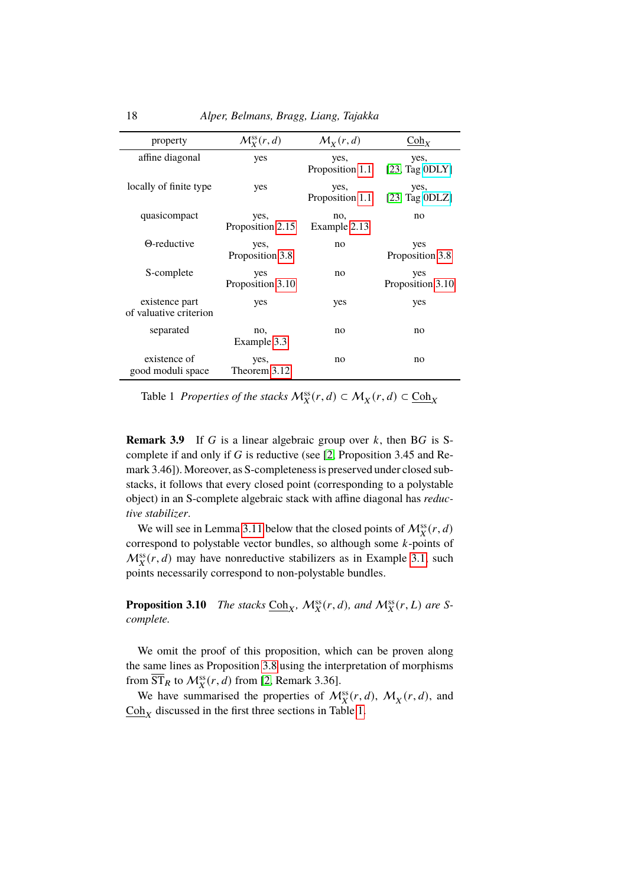| property                                 | $\mathcal{M}_{\mathbf{Y}}^{\text{ss}}(r,d)$ | $\mathcal{M}_X(r,d)$    | $\text{Coh}_X$          |
|------------------------------------------|---------------------------------------------|-------------------------|-------------------------|
| affine diagonal                          | yes                                         | yes,<br>Proposition 1.1 | yes,<br>[23, Tag ODLY]  |
| locally of finite type                   | yes                                         | yes,<br>Proposition 1.1 | yes,<br>[23, Tag ODLZ]  |
| quasicompact                             | yes,<br>Proposition 2.15                    | no,<br>Example 2.13     | no                      |
| $\Theta$ -reductive                      | yes,<br>Proposition 3.8                     | no                      | yes<br>Proposition 3.8  |
| S-complete                               | yes<br>Proposition 3.10                     | no                      | yes<br>Proposition 3.10 |
| existence part<br>of valuative criterion | yes                                         | yes                     | yes                     |
| separated                                | no,<br>Example 3.3                          | no                      | no                      |
| existence of<br>good moduli space        | yes,<br>Theorem 3.12                        | no                      | no                      |

<span id="page-17-1"></span>Table 1 *Properties of the stacks*  $M_X^{ss}(r, d) \subset M_X(r, d) \subset \underline{\text{Coh}}_X$ 

**Remark 3.9** If G is a linear algebraic group over  $k$ , then BG is Scomplete if and only if  $G$  is reductive (see [\[2,](#page-34-3) Proposition 3.45 and Remark 3.46]). Moreover, as S-completeness is preserved under closed substacks, it follows that every closed point (corresponding to a polystable object) in an S-complete algebraic stack with affine diagonal has *reductive stabilizer*.

We will see in Lemma [3.11](#page-18-1) below that the closed points of  $\mathcal{M}_X^{ss}(r, d)$ correspond to polystable vector bundles, so although some  $k$ -points of  $M_X^{\text{ss}}(r, d)$  may have nonreductive stabilizers as in Example [3.1,](#page-11-2) such points necessarily correspond to non-polystable bundles.

<span id="page-17-0"></span>**Proposition 3.10** *The stacks*  $\underline{Coh}_X$ ,  $\mathcal{M}_X^{\text{ss}}(r, d)$ , and  $\mathcal{M}_X^{\text{ss}}(r, L)$  are S*complete.*

We omit the proof of this proposition, which can be proven along the same lines as Proposition [3.8](#page-15-0) using the interpretation of morphisms from  $\overline{\text{ST}}_R$  to  $\mathcal{M}^{\text{ss}}_X(r, d)$  from [\[2,](#page-34-3) Remark 3.36].

We have summarised the properties of  $\mathcal{M}_X^{\text{ss}}(r, d)$ ,  $\mathcal{M}_X(r, d)$ , and  $\frac{\text{Coh}_X}{\text{Coh}_X}$  discussed in the first three sections in Table [1.](#page-17-1)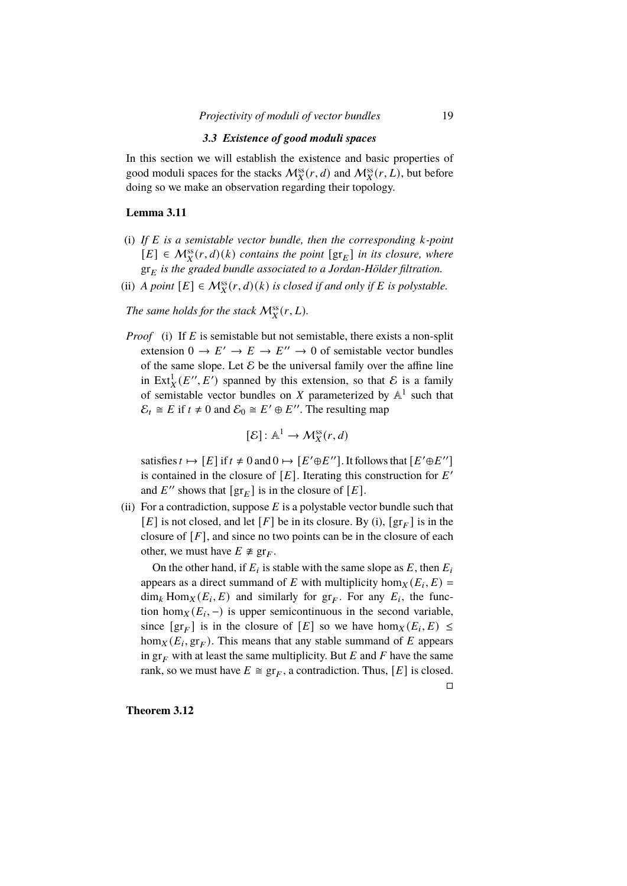## *3.3 Existence of good moduli spaces*

In this section we will establish the existence and basic properties of good moduli spaces for the stacks  $\mathcal{M}_X^{ss}(r, d)$  and  $\mathcal{M}_X^{ss}(r, L)$ , but before doing so we make an observation regarding their topology.

# <span id="page-18-1"></span>**Lemma 3.11**

- (i) If E is a semistable vector bundle, then the corresponding k-point  $[E] \in \mathcal{M}_X^{\text{ss}}(r,d)(k)$  contains the point  $[\text{gr}_E]$  in its closure, where  $gr_E$  *is the graded bundle associated to a Jordan-Hölder filtration.*
- (ii) *A point*  $[E] \in M_X^{ss}(r, d)$  *(k) is closed if and only if E is polystable.*

The same holds for the stack  $\mathcal{M}_X^{\text{ss}}(r,L)$ .

*Proof* (i) If E is semistable but not semistable, there exists a non-split extension  $0 \to E' \to E \to E'' \to 0$  of semistable vector bundles of the same slope. Let  $\mathcal E$  be the universal family over the affine line in Ext $^1_X(E'', E')$  spanned by this extension, so that E is a family of semistable vector bundles on X parameterized by  $\mathbb{A}^1$  such that  $\mathcal{E}_t \cong E$  if  $t \neq 0$  and  $\mathcal{E}_0 \cong E' \oplus E''$ . The resulting map

$$
[\mathcal{E}] : \mathbb{A}^1 \to \mathcal{M}_X^{\text{ss}}(r, d)
$$

satisfies  $t \mapsto [E]$  if  $t \neq 0$  and  $0 \mapsto [E' \oplus E'']$ . It follows that  $[E' \oplus E'']$ is contained in the closure of  $[E]$ . Iterating this construction for  $E'$ and  $E''$  shows that  $\left[\text{gr}_{E}\right]$  is in the closure of  $[E]$ .

(ii) For a contradiction, suppose  $E$  is a polystable vector bundle such that [E] is not closed, and let [F] be in its closure. By (i),  $\left[\text{gr}_{F}\right]$  is in the closure of  $[F]$ , and since no two points can be in the closure of each other, we must have  $E \not\cong gr_F$ .

On the other hand, if  $E_i$  is stable with the same slope as  $E$ , then  $E_i$ appears as a direct summand of E with multiplicity hom $_X(E_i, E)$  $\dim_k \text{Hom}_X(E_i, E)$  and similarly for  $gr_F$ . For any  $E_i$ , the function hom $_X(E_i, -)$  is upper semicontinuous in the second variable, since  $[\operatorname{gr}_F]$  is in the closure of  $[E]$  so we have  $\hom_X(E_i, E) \leq$ hom $_X(E_i, \text{gr}_F)$ . This means that any stable summand of E appears in  $gr_F$  with at least the same multiplicity. But E and F have the same rank, so we must have  $E \cong \text{gr}_F$ , a contradiction. Thus, [E] is closed.

 $\Box$ 

<span id="page-18-0"></span>**Theorem 3.12**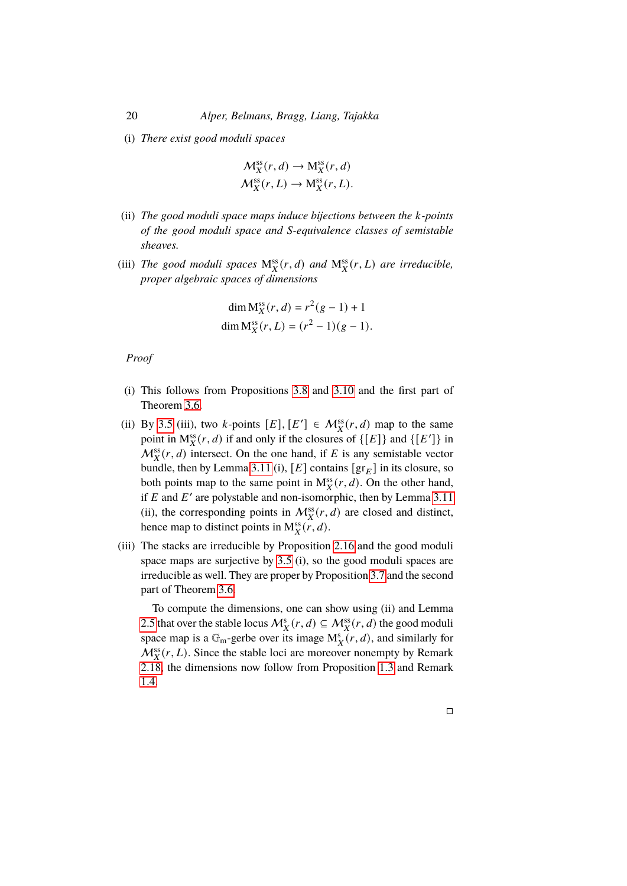(i) *There exist good moduli spaces*

$$
\mathcal{M}_X^{\text{ss}}(r,d) \to \mathcal{M}_X^{\text{ss}}(r,d)
$$
  

$$
\mathcal{M}_X^{\text{ss}}(r,L) \to \mathcal{M}_X^{\text{ss}}(r,L).
$$

- (ii) *The good moduli space maps induce bijections between the k-points of the good moduli space and S-equivalence classes of semistable sheaves.*
- (iii) The good moduli spaces  $M_X^{ss}(r, d)$  and  $M_X^{ss}(r, L)$  are irreducible, *proper algebraic spaces of dimensions*

$$
\dim M_X^{ss}(r, d) = r^2(g - 1) + 1
$$
  
dim M\_X^{ss}(r, L) = (r<sup>2</sup> – 1)(g – 1).

*Proof*

- (i) This follows from Propositions [3.8](#page-15-0) and [3.10](#page-17-0) and the first part of Theorem [3.6.](#page-13-0)
- (ii) By [3.5](#page-12-2) (iii), two k-points  $[E], [E'] \in \mathcal{M}_X^{\text{ss}}(r, d)$  map to the same point in  $M_X^{ss}(r, d)$  if and only if the closures of  $\{[E]\}$  and  $\{[E']\}$  in  $\mathcal{M}_X^{\text{ss}}(r, d)$  intersect. On the one hand, if E is any semistable vector bundle, then by Lemma [3.11](#page-18-1) (i),  $[E]$  contains  $[gr_E]$  in its closure, so both points map to the same point in  $M_X^s(r, d)$ . On the other hand, if E and E' are polystable and non-isomorphic, then by Lemma [3.11](#page-18-1) (ii), the corresponding points in  $\mathcal{M}_X^{ss}(r, d)$  are closed and distinct, hence map to distinct points in  $M_X^{ss}(r, d)$ .
- (iii) The stacks are irreducible by Proposition [2.16](#page-9-2) and the good moduli space maps are surjective by [3.5](#page-12-2) (i), so the good moduli spaces are irreducible as well. They are proper by Proposition [3.7](#page-14-0) and the second part of Theorem [3.6.](#page-13-0)

To compute the dimensions, one can show using (ii) and Lemma [2.5](#page-5-0) that over the stable locus  $\mathcal{M}_X^s(r, d) \subseteq \mathcal{M}_X^{ss}(r, d)$  the good moduli space map is a  $\mathbb{G}_m$ -gerbe over its image  $M_X^s(r, d)$ , and similarly for  $\mathcal{M}_X^{\text{ss}}(r,L)$ . Since the stable loci are moreover nonempty by Remark [2.18,](#page-11-3) the dimensions now follow from Proposition [1.3](#page-3-1) and Remark [1.4.](#page-3-2)

 $\Box$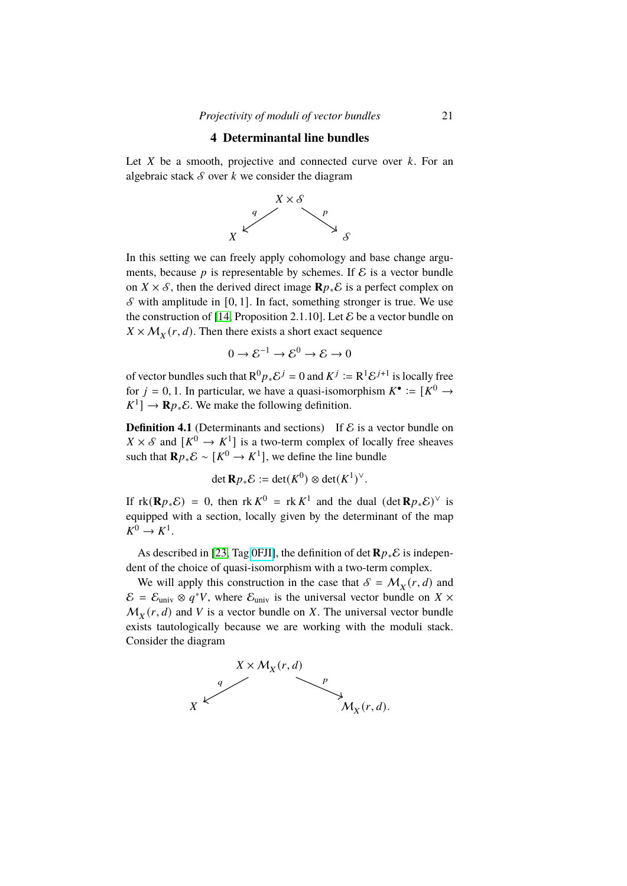# **4 Determinantal line bundles**

<span id="page-20-0"></span>Let  $X$  be a smooth, projective and connected curve over  $k$ . For an algebraic stack  $S$  over  $k$  we consider the diagram



In this setting we can freely apply cohomology and base change arguments, because  $p$  is representable by schemes. If  $\mathcal E$  is a vector bundle on  $X \times S$ , then the derived direct image  $\mathbb{R} p_* \mathcal{E}$  is a perfect complex on  $\mathcal S$  with amplitude in [0, 1]. In fact, something stronger is true. We use the construction of [\[14,](#page-35-7) Proposition 2.1.10]. Let  $\mathcal E$  be a vector bundle on  $X \times M_X(r, d)$ . Then there exists a short exact sequence

$$
0 \to \mathcal{E}^{-1} \to \mathcal{E}^0 \to \mathcal{E} \to 0
$$

of vector bundles such that  $R^0 p_* \mathcal{E}^j = 0$  and  $K^j := R^1 \mathcal{E}^{j+1}$  is locally free for  $j = 0, 1$ . In particular, we have a quasi-isomorphism  $K^{\bullet} := [K^0 \rightarrow$  $K^1$ ]  $\rightarrow$  **R** $p_*\mathcal{E}$ . We make the following definition.

<span id="page-20-1"></span>**Definition 4.1** (Determinants and sections) If  $\mathcal{E}$  is a vector bundle on  $X \times S$  and  $[K^0 \to K^1]$  is a two-term complex of locally free sheaves such that  $\mathbf{R} p_* \mathcal{E} \sim [K^0 \to K^1]$ , we define the line bundle

$$
\det \mathbf{R} p_* \mathcal{E} := \det(K^0) \otimes \det(K^1)^{\vee}.
$$

If  $rk(\mathbf{R} p_*\mathcal{E}) = 0$ , then  $rk K^0 = rk K^1$  and the dual  $(\det \mathbf{R} p_*\mathcal{E})^{\vee}$  is equipped with a section, locally given by the determinant of the map  $K^0 \rightarrow K^1$ .

As described in [\[23,](#page-35-4) Tag [0FJI\]](https://stacks.math.columbia.edu/tag/0FJI), the definition of det  $\mathbf{R} p_* \mathcal{E}$  is independent of the choice of quasi-isomorphism with a two-term complex.

We will apply this construction in the case that  $\mathcal{S} = \mathcal{M}_X(r, d)$  and  $\mathcal{E} = \mathcal{E}_{\text{univ}} \otimes q^*V$ , where  $\mathcal{E}_{\text{univ}}$  is the universal vector bundle on  $X \times$  $M_X(r, d)$  and V is a vector bundle on X. The universal vector bundle exists tautologically because we are working with the moduli stack. Consider the diagram

<span id="page-20-2"></span>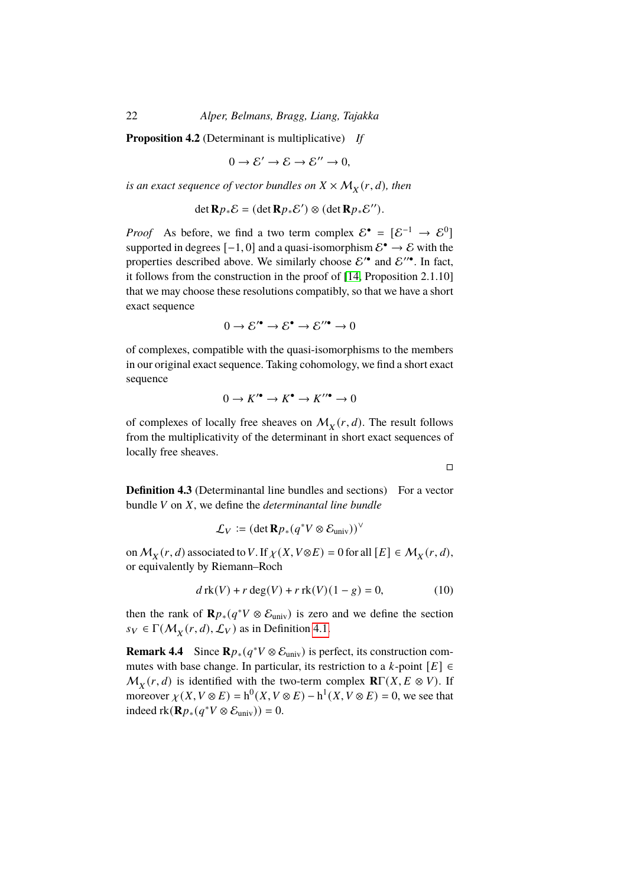**Proposition 4.2** (Determinant is multiplicative) *If*

$$
0 \to \mathcal{E}' \to \mathcal{E} \to \mathcal{E}'' \to 0,
$$

is an exact sequence of vector bundles on  $X \times \mathcal{M}_X^{\mathstrut}(r,d)$  , then

$$
\det \mathbf{R} p_* \mathcal{E} = (\det \mathbf{R} p_* \mathcal{E}') \otimes (\det \mathbf{R} p_* \mathcal{E}'').
$$

*Proof* As before, we find a two term complex  $\mathcal{E}^{\bullet} = [\mathcal{E}^{-1} \to \mathcal{E}^{0}]$ supported in degrees  $[-1, 0]$  and a quasi-isomorphism  $\mathcal{E}^{\bullet} \to \mathcal{E}$  with the properties described above. We similarly choose  $\mathcal{E}'^{\bullet}$  and  $\mathcal{E}''^{\bullet}$ . In fact, it follows from the construction in the proof of [\[14,](#page-35-7) Proposition 2.1.10] that we may choose these resolutions compatibly, so that we have a short exact sequence

$$
0 \to \mathcal{E'}^{\bullet} \to \mathcal{E}^{\bullet} \to \mathcal{E}''^{\bullet} \to 0
$$

of complexes, compatible with the quasi-isomorphisms to the members in our original exact sequence. Taking cohomology, we find a short exact sequence

$$
0 \to K^{\prime \bullet} \to K^{\bullet} \to K^{\prime \prime \bullet} \to 0
$$

of complexes of locally free sheaves on  $\mathcal{M}_X(r, d)$ . The result follows from the multiplicativity of the determinant in short exact sequences of locally free sheaves.

 $\Box$ 

<span id="page-21-0"></span>**Definition 4.3** (Determinantal line bundles and sections) For a vector bundle *V* on *X*, we define the *determinantal line bundle* 

$$
\mathcal{L}_V := (\det \mathbf{R} p_*(q^*V \otimes \mathcal{E}_{\text{univ}}))^{\vee}
$$

on  $M_X(r, d)$  associated to V. If  $\chi(X, V \otimes E) = 0$  for all  $[E] \in M_X(r, d)$ , or equivalently by Riemann–Roch

<span id="page-21-1"></span>
$$
d\operatorname{rk}(V) + r \deg(V) + r \operatorname{rk}(V)(1 - g) = 0,\tag{10}
$$

then the rank of  $\mathbf{R} p_*(q^*V \otimes \mathcal{E}_{\text{univ}})$  is zero and we define the section  $s_V \in \Gamma(M_X(r, d), \mathcal{L}_V)$  as in Definition [4.1.](#page-20-1)

**Remark 4.4** Since  $\mathbf{R} p_*(q^*V \otimes \mathcal{E}_{\text{univ}})$  is perfect, its construction commutes with base change. In particular, its restriction to a  $k$ -point  $[E] \in$  $M_X(r, d)$  is identified with the two-term complex  $\mathbf{R}\Gamma(X, E \otimes V)$ . If moreover  $\chi(X, V \otimes E) = h^0(X, V \otimes E) - h^1(X, V \otimes E) = 0$ , we see that indeed  $\text{rk}(\mathbf{R} p_*(q^*V \otimes \mathcal{E}_{\text{univ}})) = 0.$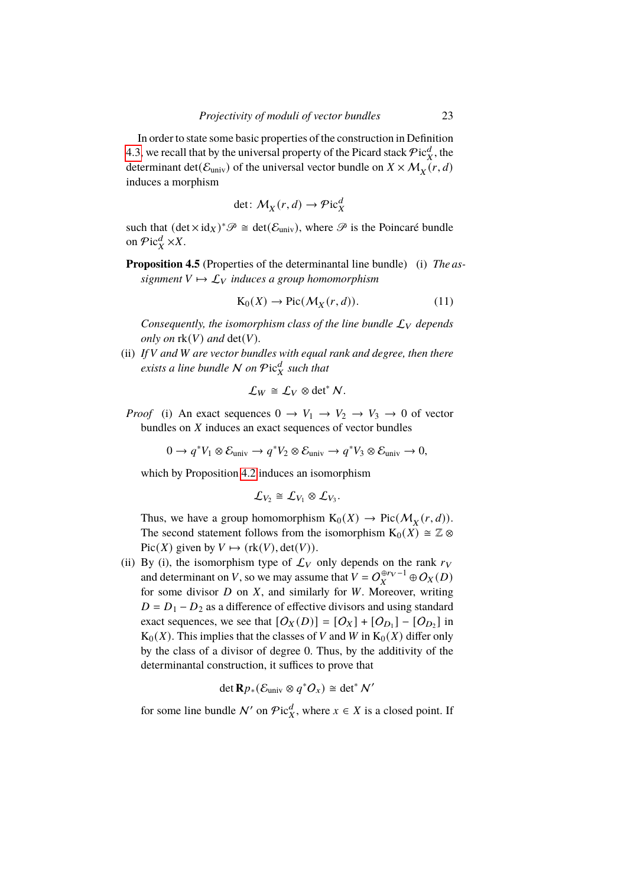In order to state some basic properties of the construction in Definition [4.3,](#page-21-0) we recall that by the universal property of the Picard stack  $\mathcal{P}$ ic $_X^d$ , the determinant det( $\mathcal{E}_{\text{univ}}$ ) of the universal vector bundle on  $X \times \mathcal{M}_X(r, d)$ induces a morphism

$$
\det: \mathcal{M}_X(r, d) \to \mathcal{P}ic_X^d
$$

such that  $(\det \times id_X)^* \mathscr{P} \cong \det(\mathcal{E}_{\text{univ}})$ , where  $\mathscr{P}$  is the Poincaré bundle on  $\mathcal{P}$ ic $^d_X$  ×X.

<span id="page-22-0"></span>**Proposition 4.5** (Properties of the determinantal line bundle) (i) *The assignment*  $V \mapsto L_V$  *induces a group homomorphism* 

$$
K_0(X) \to Pic(\mathcal{M}_X(r,d)).
$$
 (11)

*Consequently, the isomorphism class of the line bundle*  $\mathcal{L}_V$  *depends only on*  $rk(V)$  *and*  $det(V)$ *.* 

(ii) *If* V and W are vector bundles with equal rank and degree, then there *exists a line bundle* N on Pic<sup>d</sup> such that

$$
\mathcal{L}_W \cong \mathcal{L}_V \otimes \det^* N.
$$

*Proof* (i) An exact sequences  $0 \rightarrow V_1 \rightarrow V_2 \rightarrow V_3 \rightarrow 0$  of vector bundles on  $X$  induces an exact sequences of vector bundles

$$
0 \to q^*V_1 \otimes \mathcal{E}_{\text{univ}} \to q^*V_2 \otimes \mathcal{E}_{\text{univ}} \to q^*V_3 \otimes \mathcal{E}_{\text{univ}} \to 0,
$$

which by Proposition [4.2](#page-20-2) induces an isomorphism

$$
\mathcal{L}_{V_2} \cong \mathcal{L}_{V_1} \otimes \mathcal{L}_{V_3}.
$$

Thus, we have a group homomorphism  $K_0(X) \to Pic(M_X(r, d)).$ The second statement follows from the isomorphism  $K_0(X) \cong \mathbb{Z} \otimes$ Pic( $X$ ) given by  $V \mapsto$  (rk( $V$ ), det( $V$ )).

(ii) By (i), the isomorphism type of  $\mathcal{L}_V$  only depends on the rank  $r_V$ and determinant on V, so we may assume that  $V = O_X^{\oplus r_V - 1} \oplus O_X(D)$ for some divisor  $D$  on  $X$ , and similarly for  $W$ . Moreover, writing  $D = D_1 - D_2$  as a difference of effective divisors and using standard exact sequences, we see that  $[O_X(D)] = [O_X] + [O_{D_1}] - [O_{D_2}]$  in  $K_0(X)$ . This implies that the classes of V and W in  $K_0(X)$  differ only by the class of a divisor of degree 0. Thus, by the additivity of the determinantal construction, it suffices to prove that

$$
\det \mathbf{R} p_* (\mathcal{E}_{\text{univ}} \otimes q^* O_x) \cong \det^* \mathcal{N}'
$$

for some line bundle N' on  $\mathcal{P}$ ic $^d_X$ , where  $x \in X$  is a closed point. If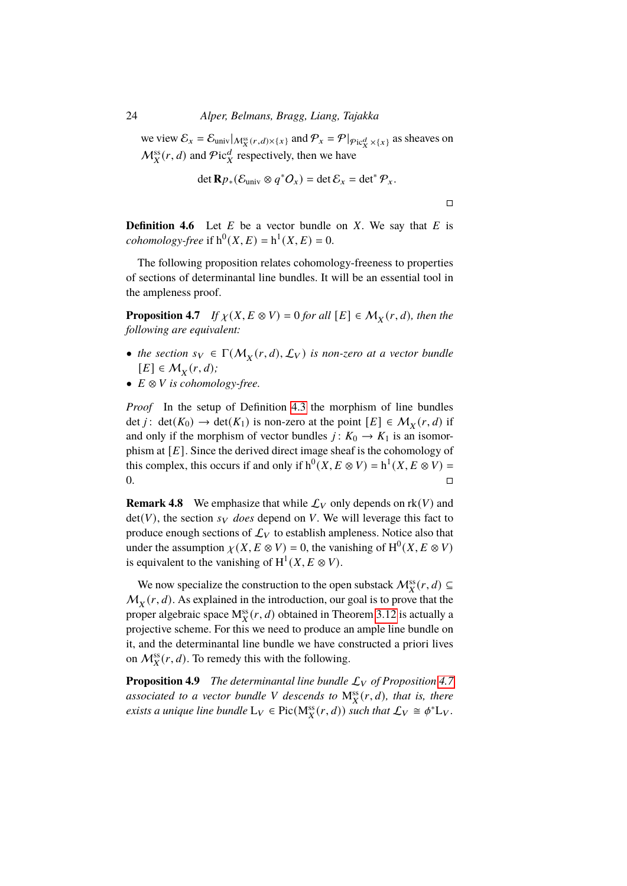we view  $\mathcal{E}_x = \mathcal{E}_{\text{univ}}|_{\mathcal{M}_X^{\text{ss}}(r,d)\times\{x\}}$  and  $\mathcal{P}_x = \mathcal{P}|_{\mathcal{P}\text{ic}_X^d \times\{x\}}$  as sheaves on  $\mathcal{M}_X^{\text{ss}}(r, d)$  and  $\mathcal{P}\text{ic}_X^d$  respectively, then we have

$$
\det \mathbf{R} p_*(\mathcal{E}_{\text{univ}} \otimes q^* O_x) = \det \mathcal{E}_x = \det^* \mathcal{P}_x.
$$

 $\Box$ 

**Definition 4.6** Let  $E$  be a vector bundle on  $X$ . We say that  $E$  is *cohomology-free* if  $h^0(X, E) = h^1(X, E) = 0$ .

The following proposition relates cohomology-freeness to properties of sections of determinantal line bundles. It will be an essential tool in the ampleness proof.

<span id="page-23-0"></span>**Proposition 4.7** *If*  $\chi$ (*X*,  $E \otimes V$ ) = 0 *for all* [*E*]  $\in$   $\mathcal{M}_X$ (*r*, *d*), *then the following are equivalent:*

- *the section*  $s_V \in \Gamma(M_X(r,d), \mathcal{L}_V)$  *is non-zero at a vector bundle*  $[E] \in M_X(r, d);$
- $E \otimes V$  *is cohomology-free.*

*Proof* In the setup of Definition [4.3](#page-21-0) the morphism of line bundles det *j*: det( $K_0$ )  $\rightarrow$  det( $K_1$ ) is non-zero at the point  $[E] \in M_X(r,d)$  if and only if the morphism of vector bundles  $j: K_0 \to K_1$  is an isomorphism at  $[E]$ . Since the derived direct image sheaf is the cohomology of this complex, this occurs if and only if  $h^0(X, E \otimes V) = h^1(X, E \otimes V) =$  $0.$ 

**Remark 4.8** We emphasize that while  $\mathcal{L}_V$  only depends on rk(V) and  $det(V)$ , the section  $s_V$  *does* depend on V. We will leverage this fact to produce enough sections of  $\mathcal{L}_V$  to establish ampleness. Notice also that under the assumption  $\chi(X, E \otimes V) = 0$ , the vanishing of  $H^0(X, E \otimes V)$ is equivalent to the vanishing of  $H^1(X, E \otimes V)$ .

We now specialize the construction to the open substack  $\mathcal{M}_X^{ss}(r, d) \subseteq$  $M_X(r, d)$ . As explained in the introduction, our goal is to prove that the proper algebraic space  $M_X^{ss}(r, d)$  obtained in Theorem [3.12](#page-18-0) is actually a projective scheme. For this we need to produce an ample line bundle on it, and the determinantal line bundle we have constructed a priori lives on  $\mathcal{M}_X^{ss}(r, d)$ . To remedy this with the following.

**Proposition 4.9** *The determinantal line bundle*  $\mathcal{L}_V$  *of Proposition* [4.7](#page-23-0) associated to a vector bundle V descends to  $M_X^{\text{ss}}(r, d)$ , that is, there *exists a unique line bundle*  $L_V \in Pic(M_X^{ss}(r, d))$  *such that*  $\mathcal{L}_V \cong \phi^* L_V$ .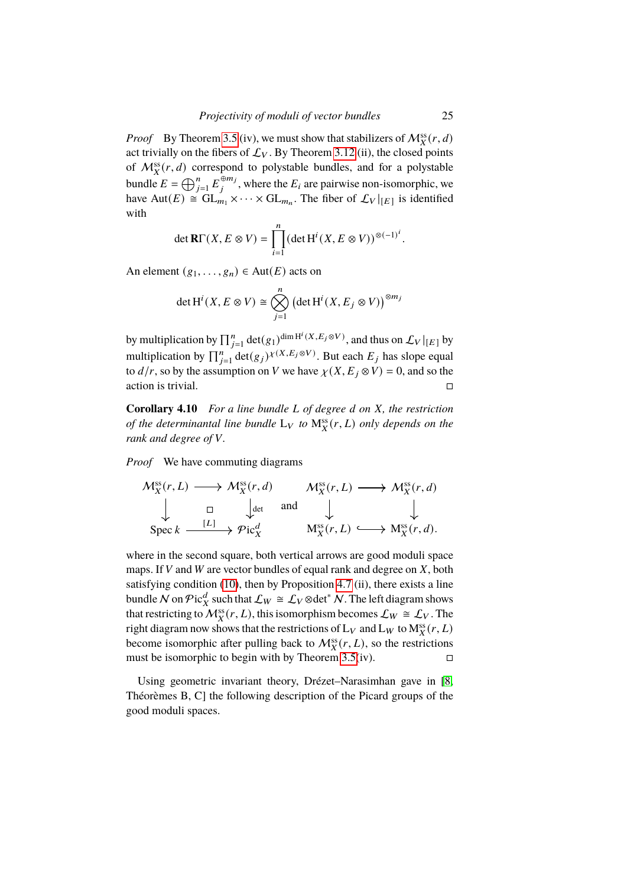*Proof* By Theorem [3.5](#page-12-2) (iv), we must show that stabilizers of  $\mathcal{M}_X^{ss}(r, d)$ act trivially on the fibers of  $\mathcal{L}_V$ . By Theorem [3.12](#page-18-0) (ii), the closed points of  $\mathcal{M}_X^{\text{ss}}(r, d)$  correspond to polystable bundles, and for a polystable bundle  $E = \bigoplus_{j=1}^{n} E_j^{\oplus m_j}$  $_{i}^{\oplus m_{j}}$ , where the  $E_{i}$  are pairwise non-isomorphic, we have Aut(E)  $\cong$   $GL_{m_1} \times \cdots \times GL_{m_n}$ . The fiber of  $\mathcal{L}_V|_{[E]}$  is identified with

$$
\det \mathbf{R}\Gamma(X, E \otimes V) = \prod_{i=1}^{n} (\det \mathrm{H}^{i}(X, E \otimes V))^{\otimes (-1)^{i}}
$$

An element  $(g_1, \ldots, g_n) \in Aut(E)$  acts on

$$
\det H^i(X, E \otimes V) \cong \bigotimes_{j=1}^n \left( \det H^i(X, E_j \otimes V) \right)^{\otimes m_j}
$$

by multiplication by  $\prod_{j=1}^n \det(g_1)^{\dim \mathrm{H}^i(X, E_j \otimes V)},$  and thus on  $\mathcal{L}_V|_{[E]}$  by multiplication by  $\prod_{j=1}^{n} \det(g_j) \chi(X, E_j \otimes V)$ . But each  $E_j$  has slope equal to  $d/r$ , so by the assumption on V we have  $\chi(X, E_i \otimes V) = 0$ , and so the action is trivial.  $\Box$ 

**Corollary 4.10** *For a line bundle L of degree d on X, the restriction of the determinantal line bundle*  $L_V$  *to*  $M_X^{ss}(r, L)$  *only depends on the rank and degree of V.* 

*Proof* We have commuting diagrams

$$
\mathcal{M}_X^{\text{ss}}(r, L) \longrightarrow \mathcal{M}_X^{\text{ss}}(r, d) \qquad \mathcal{M}_X^{\text{ss}}(r, L) \longrightarrow \mathcal{M}_X^{\text{ss}}(r, d)
$$
\n
$$
\downarrow \qquad \qquad \square \qquad \downarrow \qquad \text{and} \qquad \downarrow \qquad \qquad \downarrow
$$
\n
$$
\text{Spec } k \xrightarrow{[L]} \mathcal{P}ic_X^d \qquad \mathcal{M}_X^{\text{ss}}(r, L) \longrightarrow \mathcal{M}_X^{\text{ss}}(r, d).
$$

where in the second square, both vertical arrows are good moduli space maps. If  $V$  and  $W$  are vector bundles of equal rank and degree on  $X$ , both satisfying condition [\(10\)](#page-21-1), then by Proposition [4.7](#page-23-0) (ii), there exists a line bundle N on  $\mathcal Pic_X^d$  such that  $\mathcal L_W \cong \mathcal L_V \otimes \det^* N$ . The left diagram shows that restricting to  $\overrightarrow{M}_{X}^{\text{ss}}(r, L)$ , this isomorphism becomes  $\mathcal{L}_{W} \cong \mathcal{L}_{V}$ . The right diagram now shows that the restrictions of  $L_V$  and  $L_W$  to  $M_X^{ss}(r, L)$ become isomorphic after pulling back to  $\mathcal{M}_X^{ss}(r,L)$ , so the restrictions must be isomorphic to begin with by Theorem [3.5\(](#page-12-2)iv).  $\square$ 

Using geometric invariant theory, Drézet–Narasimhan gave in [\[8,](#page-34-10) Théorèmes B, C] the following description of the Picard groups of the good moduli spaces.

.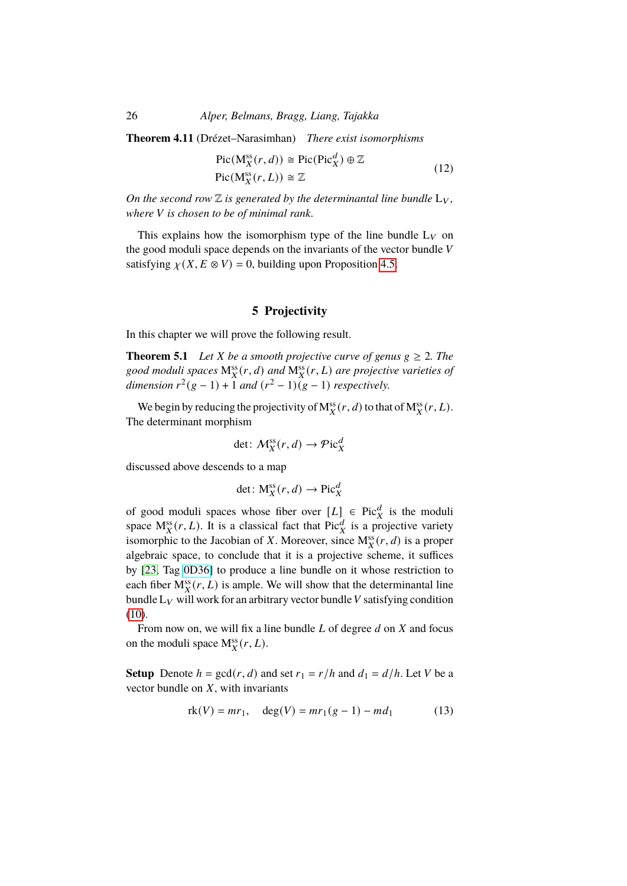26 *Alper, Belmans, Bragg, Liang, Tajakka*

**Theorem 4.11** (Drézet–Narasimhan) *There exist isomorphisms*

$$
Pic(M_X^{ss}(r, d)) \cong Pic(Pic_X^d) \oplus \mathbb{Z}
$$
  
Pic(M\_X^{ss}(r, L))  $\cong \mathbb{Z}$  (12)

*On the second row*  $\mathbb Z$  *is generated by the determinantal line bundle*  $L_V$ *, where V* is chosen to be of minimal rank.

This explains how the isomorphism type of the line bundle  $L_V$  on the good moduli space depends on the invariants of the vector bundle  $V$ satisfying  $\chi(X, E \otimes V) = 0$ , building upon Proposition [4.5.](#page-22-0)

# **5 Projectivity**

<span id="page-25-0"></span>In this chapter we will prove the following result.

<span id="page-25-1"></span>**Theorem 5.1** *Let X be a smooth projective curve of genus*  $g \ge 2$ *. The* good moduli spaces  $M_X^{ss}(r, d)$  and  $M_X^{ss}(r, L)$  are projective varieties of dimension  $r^2(g-1) + 1$  and  $(r^2 - 1)(g-1)$  respectively.

We begin by reducing the projectivity of  $M_X^{ss}(r, d)$  to that of  $M_X^{ss}(r, L)$ . The determinant morphism

$$
\det \colon \mathcal{M}_X^{\text{ss}}(r,d) \to \mathcal{P}\mathrm{ic}_X^d
$$

discussed above descends to a map

$$
\det \colon M_X^{ss}(r, d) \to \operatorname{Pic}^d_X
$$

of good moduli spaces whose fiber over  $[L] \in Pic_X^d$  is the moduli space  $M_X^{ss}(r, L)$ . It is a classical fact that  $Pic_X^d$  is a projective variety isomorphic to the Jacobian of X. Moreover, since  $M_X^s(r, d)$  is a proper algebraic space, to conclude that it is a projective scheme, it suffices by [\[23,](#page-35-4) Tag [0D36\]](https://stacks.math.columbia.edu/tag/0D36) to produce a line bundle on it whose restriction to each fiber  $M_X^{ss}(r, L)$  is ample. We will show that the determinantal line bundle  $L_V$  will work for an arbitrary vector bundle V satisfying condition [\(10\)](#page-21-1).

From now on, we will fix a line bundle  $L$  of degree  $d$  on  $X$  and focus on the moduli space  $M_X^{ss}(r,L)$ .

**Setup** Denote  $h = \gcd(r, d)$  and set  $r_1 = r/h$  and  $d_1 = d/h$ . Let V be a vector bundle on  $X$ , with invariants

$$
rk(V) = mr_1, \quad deg(V) = mr_1(g-1) - md_1
$$
 (13)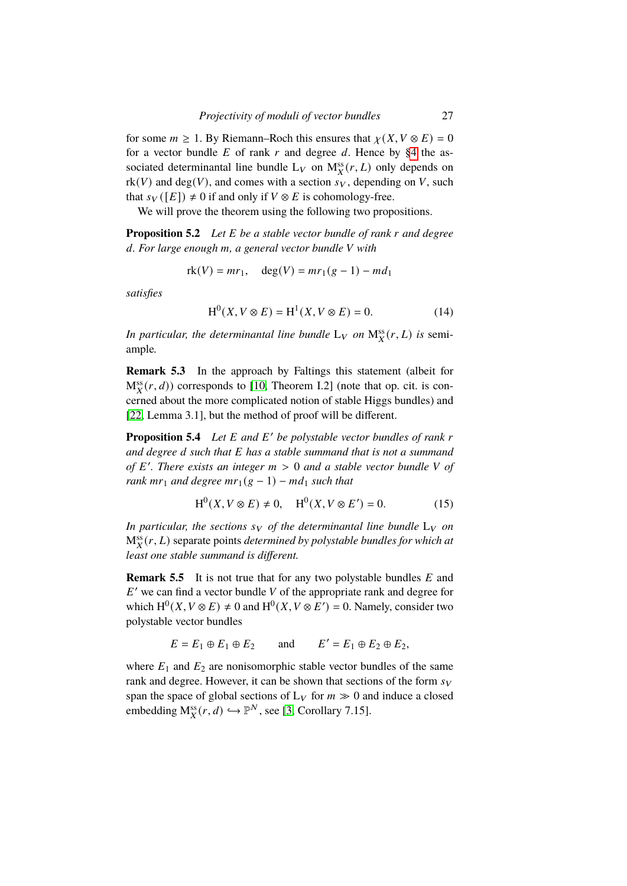for some  $m \geq 1$ . By Riemann–Roch this ensures that  $\chi(X, V \otimes E) = 0$ for a vector bundle  $E$  of rank  $r$  and degree  $d$ . Hence by [§4](#page-20-0) the associated determinantal line bundle  $L_V$  on  $M_X^{ss}(r, L)$  only depends on  $rk(V)$  and deg(V), and comes with a section  $s_V$ , depending on V, such that  $s_V([E]) \neq 0$  if and only if  $V \otimes E$  is cohomology-free.

We will prove the theorem using the following two propositions.

<span id="page-26-0"></span>**Proposition 5.2** *Let E be a stable vector bundle of rank r and degree* 𝑑*. For large enough* 𝑚*, a general vector bundle* 𝑉 *with*

$$
rk(V) = mr_1
$$
,  $deg(V) = mr_1(g - 1) - md_1$ 

*satisfies*

$$
H^{0}(X, V \otimes E) = H^{1}(X, V \otimes E) = 0.
$$
 (14)

In particular, the determinantal line bundle  $L_V$  on  $M_X^{ss}(r,L)$  is semiample*.*

**Remark 5.3** In the approach by Faltings this statement (albeit for  $M_X^{ss}(r, d)$ ) corresponds to [\[10,](#page-34-5) Theorem I.2] (note that op. cit. is concerned about the more complicated notion of stable Higgs bundles) and [\[22,](#page-35-3) Lemma 3.1], but the method of proof will be different.

<span id="page-26-1"></span>**Proposition 5.4** *Let* E and E' be polystable vector bundles of rank r *and degree* 𝑑 *such that* 𝐸 *has a stable summand that is not a summand of* 𝐸 0 *. There exists an integer* 𝑚 > 0 *and a stable vector bundle* 𝑉 *of rank*  $mr_1$  *and degree*  $mr_1(g-1) - md_1$  *such that* 

$$
H^0(X, V \otimes E) \neq 0
$$
,  $H^0(X, V \otimes E') = 0$ . (15)

*In particular, the sections*  $s_V$  *of the determinantal line bundle*  $L_V$  *on*  $\mathrm{M}^{\mathrm{ss}}_X(r,L)$  separate points *determined by polystable bundles for which at least one stable summand is different.*

**Remark 5.5** It is not true that for any two polystable bundles E and  $E'$  we can find a vector bundle V of the appropriate rank and degree for which  $H^0(X, V \otimes E) \neq 0$  and  $H^0(X, V \otimes E') = 0$ . Namely, consider two polystable vector bundles

$$
E = E_1 \oplus E_1 \oplus E_2 \quad \text{and} \quad E' = E_1 \oplus E_2 \oplus E_2,
$$

where  $E_1$  and  $E_2$  are nonisomorphic stable vector bundles of the same rank and degree. However, it can be shown that sections of the form  $s_V$ span the space of global sections of  $L_V$  for  $m \gg 0$  and induce a closed embedding  $M_X^{ss}(r, d) \hookrightarrow \mathbb{P}^N$ , see [\[3,](#page-34-11) Corollary 7.15].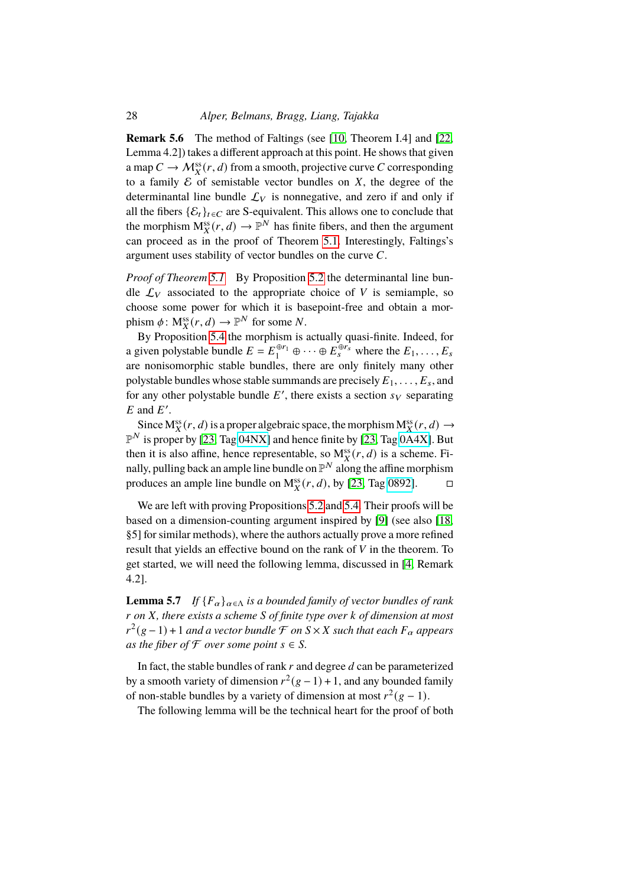**Remark 5.6** The method of Faltings (see [\[10,](#page-34-5) Theorem I.4] and [\[22,](#page-35-3) Lemma 4.2]) takes a different approach at this point. He shows that given a map  $C \to M_X^{\text{ss}}(r, d)$  from a smooth, projective curve C corresponding to a family  $\mathcal E$  of semistable vector bundles on  $X$ , the degree of the determinantal line bundle  $\mathcal{L}_V$  is nonnegative, and zero if and only if all the fibers  $\{\mathcal{E}_t\}_{t \in \mathbb{C}}$  are S-equivalent. This allows one to conclude that the morphism  $M_X^{ss}(r, d) \to \mathbb{P}^N$  has finite fibers, and then the argument can proceed as in the proof of Theorem [5.1.](#page-25-1) Interestingly, Faltings's argument uses stability of vector bundles on the curve  $C$ .

*Proof of Theorem [5.1](#page-25-1)* By Proposition [5.2](#page-26-0) the determinantal line bundle  $\mathcal{L}_V$  associated to the appropriate choice of V is semiample, so choose some power for which it is basepoint-free and obtain a morphism  $\phi \colon \mathcal{M}_X^{\text{ss}}(r, d) \to \mathbb{P}^N$  for some N.

By Proposition [5.4](#page-26-1) the morphism is actually quasi-finite. Indeed, for a given polystable bundle  $E = E_1^{\oplus r_1} \oplus \cdots \oplus E_s^{\oplus r_s}$  where the  $E_1, \ldots, E_s$ are nonisomorphic stable bundles, there are only finitely many other polystable bundles whose stable summands are precisely  $E_1, \ldots, E_s$ , and for any other polystable bundle  $E'$ , there exists a section  $s_V$  separating  $E$  and  $E'$ .

Since  $M_X^{ss}(r, d)$  is a proper algebraic space, the morphism  $M_X^{ss}(r, d) \rightarrow$  $\mathbb{P}^N$  is proper by [\[23,](#page-35-4) Tag [04NX\]](https://stacks.math.columbia.edu/tag/04NX) and hence finite by [23, Tag 0 $\overline{A}$ 4X]. But then it is also affine, hence representable, so  $M_X^{ss}(r, d)$  is a scheme. Finally, pulling back an ample line bundle on  $\mathbb{P}^N$  along the affine morphism produces an ample line bundle on  $M_X^{ss}(r, d)$ , by [\[23,](#page-35-4) Tag [0892\]](https://stacks.math.columbia.edu/tag/0892).

We are left with proving Propositions [5.2](#page-26-0) and [5.4.](#page-26-1) Their proofs will be based on a dimension-counting argument inspired by [\[9\]](#page-34-4) (see also [\[18,](#page-35-8) §5] for similar methods), where the authors actually prove a more refined result that yields an effective bound on the rank of  $V$  in the theorem. To get started, we will need the following lemma, discussed in [\[4,](#page-34-12) Remark 4.2].

<span id="page-27-0"></span>**Lemma 5.7** *If*  ${F_\alpha}_{\alpha \in \Lambda}$  *is a bounded family of vector bundles of rank* 𝑟 *on* 𝑋*, there exists a scheme* 𝑆 *of finite type over* 𝑘 *of dimension at most*  $r^2(g-1) + 1$  *and a vector bundle*  $\mathcal{F}$  *on*  $S \times X$  *such that each*  $F_\alpha$  *appears as the fiber of*  $\mathcal F$  *over some point*  $s \in \mathcal S$ *.* 

In fact, the stable bundles of rank  $r$  and degree  $d$  can be parameterized by a smooth variety of dimension  $r^2(g-1) + 1$ , and any bounded family of non-stable bundles by a variety of dimension at most  $r^2(g-1)$ .

The following lemma will be the technical heart for the proof of both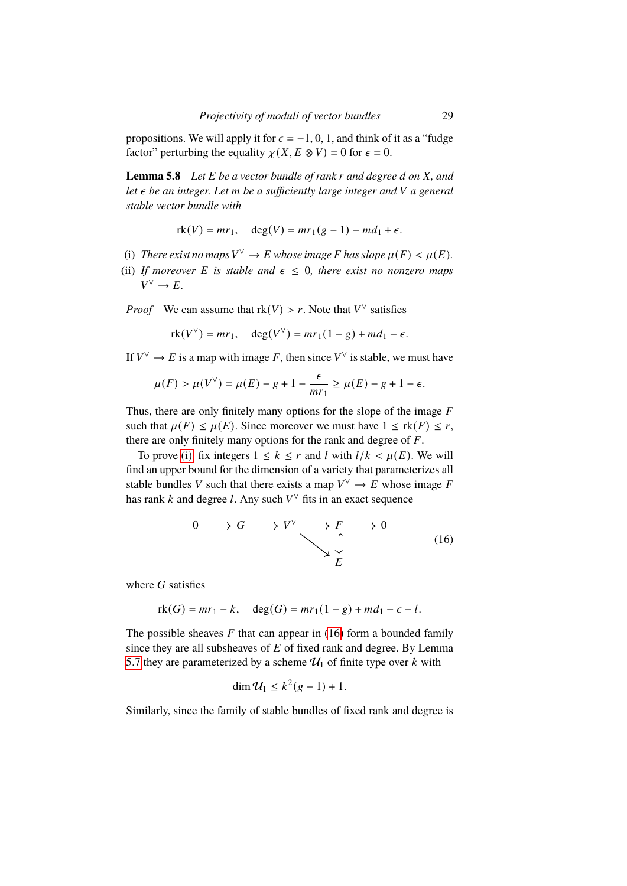propositions. We will apply it for  $\epsilon = -1, 0, 1$ , and think of it as a "fudge" factor" perturbing the equality  $\chi(X, E \otimes V) = 0$  for  $\epsilon = 0$ .

<span id="page-28-3"></span>**Lemma 5.8** *Let E be a vector bundle of rank r and degree d on X, and let*  $\epsilon$  *be an integer. Let m be a sufficiently large integer and* V *a general stable vector bundle with*

$$
rk(V) = mr_1
$$
,  $deg(V) = mr_1(g - 1) - md_1 + \epsilon$ .

- <span id="page-28-0"></span>(i) *There exist no maps*  $V^{\vee} \to E$  *whose image F* has *slope*  $\mu(F) < \mu(E)$ *.*
- <span id="page-28-2"></span>(ii) *If moreover E is stable and*  $\epsilon \leq 0$ *, there exist no nonzero maps*  $V^{\vee} \to E.$

*Proof* We can assume that  $rk(V) > r$ . Note that  $V^{\vee}$  satisfies

$$
rk(V^{\vee}) = mr_1, \quad deg(V^{\vee}) = mr_1(1-g) + md_1 - \epsilon.
$$

If  $V^{\vee} \to E$  is a map with image F, then since  $V^{\vee}$  is stable, we must have

$$
\mu(F) > \mu(V^{\vee}) = \mu(E) - g + 1 - \frac{\epsilon}{mr_1} \ge \mu(E) - g + 1 - \epsilon.
$$

Thus, there are only finitely many options for the slope of the image  $F$ such that  $\mu(F) \leq \mu(E)$ . Since moreover we must have  $1 \leq \text{rk}(F) \leq r$ , there are only finitely many options for the rank and degree of  $F$ .

To prove [\(i\),](#page-28-0) fix integers  $1 \leq k \leq r$  and l with  $l/k < \mu(E)$ . We will find an upper bound for the dimension of a variety that parameterizes all stable bundles V such that there exists a map  $V^{\vee} \to E$  whose image F has rank k and degree l. Any such  $V^{\vee}$  fits in an exact sequence

<span id="page-28-1"></span>
$$
0 \longrightarrow G \longrightarrow V^{\vee} \longrightarrow F \longrightarrow 0
$$
  

$$
\downarrow \qquad (16)
$$
  

$$
E
$$

where  $G$  satisfies

$$
rk(G) = mr_1 - k, \quad deg(G) = mr_1(1 - g) + md_1 - \epsilon - l.
$$

The possible sheaves  $F$  that can appear in [\(16\)](#page-28-1) form a bounded family since they are all subsheaves of  $E$  of fixed rank and degree. By Lemma [5.7](#page-27-0) they are parameterized by a scheme  $\mathcal{U}_1$  of finite type over k with

$$
\dim \mathcal{U}_1 \leq k^2(g-1)+1.
$$

Similarly, since the family of stable bundles of fixed rank and degree is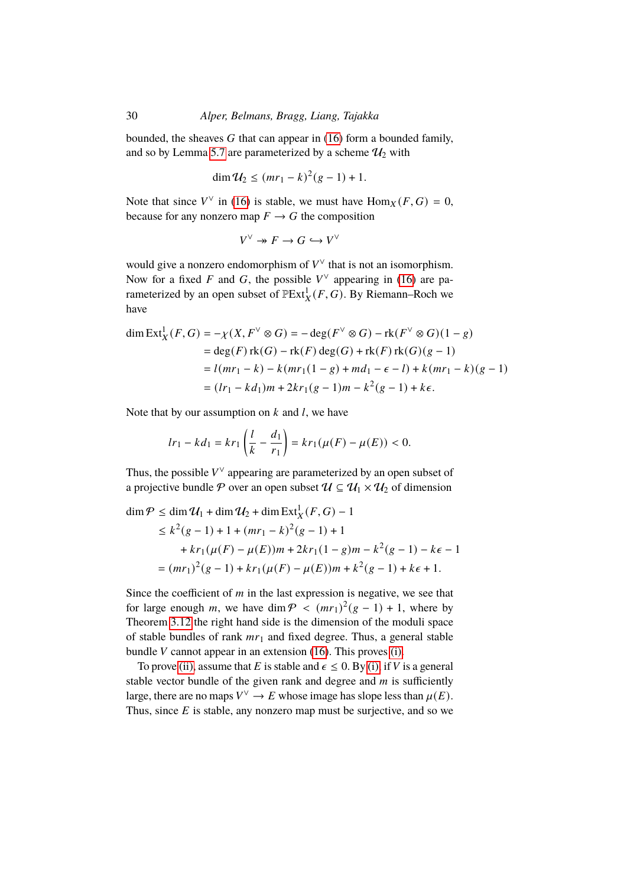bounded, the sheaves  $G$  that can appear in [\(16\)](#page-28-1) form a bounded family, and so by Lemma [5.7](#page-27-0) are parameterized by a scheme  $\mathcal{U}_2$  with

$$
\dim \mathcal{U}_2 \le (mr_1 - k)^2 (g - 1) + 1.
$$

Note that since  $V^{\vee}$  in [\(16\)](#page-28-1) is stable, we must have  $\text{Hom}_X(F, G) = 0$ , because for any nonzero map  $F \to G$  the composition

$$
V^\vee\twoheadrightarrow F\to G\hookrightarrow V^\vee
$$

would give a nonzero endomorphism of  $V^{\vee}$  that is not an isomorphism. Now for a fixed F and G, the possible  $V^{\vee}$  appearing in [\(16\)](#page-28-1) are parameterized by an open subset of  $\mathbb{P}Ext^1_X(F,G)$ . By Riemann–Roch we have

$$
\dim \text{Ext}_X^1(F, G) = -\chi(X, F^\vee \otimes G) = -\deg(F^\vee \otimes G) - \text{rk}(F^\vee \otimes G)(1 - g)
$$
  
= deg(F)  $\text{rk}(G) - \text{rk}(F) \deg(G) + \text{rk}(F) \text{rk}(G)(g - 1)$   
=  $l(mr_1 - k) - k(mr_1(1 - g) + md_1 - \epsilon - l) + k(mr_1 - k)(g - 1)$   
=  $(lr_1 - kd_1)m + 2kr_1(g - 1)m - k^2(g - 1) + k\epsilon.$ 

Note that by our assumption on  $k$  and  $l$ , we have

$$
lr_1 - kd_1 = kr_1 \left(\frac{l}{k} - \frac{d_1}{r_1}\right) = kr_1(\mu(F) - \mu(E)) < 0.
$$

Thus, the possible  $V^{\vee}$  appearing are parameterized by an open subset of a projective bundle P over an open subset  $\mathcal{U} \subseteq \mathcal{U}_1 \times \mathcal{U}_2$  of dimension

$$
\dim \mathcal{P} \le \dim \mathcal{U}_1 + \dim \mathcal{U}_2 + \dim \text{Ext}^1_X(F, G) - 1
$$
  
\n
$$
\le k^2(g - 1) + 1 + (mr_1 - k)^2(g - 1) + 1
$$
  
\n
$$
+ kr_1(\mu(F) - \mu(E))m + 2kr_1(1 - g)m - k^2(g - 1) - k\epsilon - 1
$$
  
\n
$$
= (mr_1)^2(g - 1) + kr_1(\mu(F) - \mu(E))m + k^2(g - 1) + k\epsilon + 1.
$$

Since the coefficient of  $m$  in the last expression is negative, we see that for large enough m, we have dim  $\mathcal{P} < (mr_1)^2(g-1) + 1$ , where by Theorem [3.12](#page-18-0) the right hand side is the dimension of the moduli space of stable bundles of rank  $mr_1$  and fixed degree. Thus, a general stable bundle  $V$  cannot appear in an extension [\(16\)](#page-28-1). This proves [\(i\).](#page-28-0)

To prove [\(ii\),](#page-28-2) assume that E is stable and  $\epsilon \leq 0$ . By [\(i\),](#page-28-0) if V is a general stable vector bundle of the given rank and degree and  $m$  is sufficiently large, there are no maps  $V^{\vee} \to E$  whose image has slope less than  $\mu(E)$ . Thus, since  $E$  is stable, any nonzero map must be surjective, and so we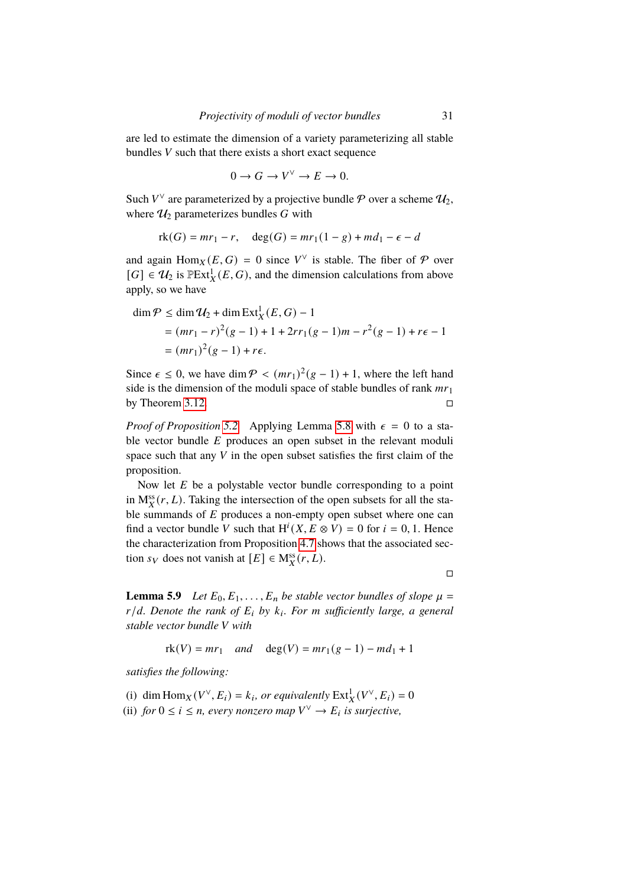are led to estimate the dimension of a variety parameterizing all stable bundles  $V$  such that there exists a short exact sequence

$$
0 \to G \to V^{\vee} \to E \to 0.
$$

Such  $V^{\vee}$  are parameterized by a projective bundle  $P$  over a scheme  $\mathcal{U}_2$ , where  $\mathcal{U}_2$  parameterizes bundles G with

$$
rk(G) = mr_1 - r, \quad deg(G) = mr_1(1 - g) + md_1 - \epsilon - d
$$

and again  $\text{Hom}_X(E, G) = 0$  since  $V^{\vee}$  is stable. The fiber of  $\mathcal P$  over  $[G] \in \mathcal{U}_2$  is  $\mathbb{P}Ext^1_X(E,G)$ , and the dimension calculations from above apply, so we have

$$
\dim \mathcal{P} \le \dim \mathcal{U}_2 + \dim \text{Ext}^1_X(E, G) - 1
$$
  
=  $(mr_1 - r)^2(g - 1) + 1 + 2rr_1(g - 1)m - r^2(g - 1) + r\epsilon - 1$   
=  $(mr_1)^2(g - 1) + r\epsilon$ .

Since  $\epsilon \leq 0$ , we have dim  $\mathcal{P} < (mr_1)^2(g-1) + 1$ , where the left hand side is the dimension of the moduli space of stable bundles of rank  $mr_1$ by Theorem [3.12.](#page-18-0)

*Proof of Proposition* [5.2](#page-26-0) Applying Lemma [5.8](#page-28-3) with  $\epsilon = 0$  to a stable vector bundle  $E$  produces an open subset in the relevant moduli space such that any  $V$  in the open subset satisfies the first claim of the proposition.

Now let  $E$  be a polystable vector bundle corresponding to a point in  $M_X^{ss}(r, L)$ . Taking the intersection of the open subsets for all the stable summands of  $E$  produces a non-empty open subset where one can find a vector bundle V such that  $H^{i}(X, E \otimes V) = 0$  for  $i = 0, 1$ . Hence the characterization from Proposition [4.7](#page-23-0) shows that the associated section  $s_V$  does not vanish at  $[E] \in M_X^{ss}(r, L)$ .

 $\Box$ 

<span id="page-30-2"></span>**Lemma 5.9** *Let*  $E_0, E_1, \ldots, E_n$  *be stable vector bundles of slope*  $\mu =$ *r*/*d.* Denote the rank of  $E_i$  by  $k_i$ . For m sufficiently large, a general *stable vector bundle* 𝑉 *with*

$$
rk(V) = mr_1
$$
 and  $deg(V) = mr_1(g - 1) - md_1 + 1$ 

*satisfies the following:*

<span id="page-30-1"></span><span id="page-30-0"></span>(i) dim  $\text{Hom}_X(V^\vee, E_i) = k_i$ , or equivalently  $\text{Ext}^1_X(V^\vee, E_i) = 0$ (ii) *for*  $0 \le i \le n$ , *every nonzero map*  $V^{\vee} \to E_i$  *is surjective*,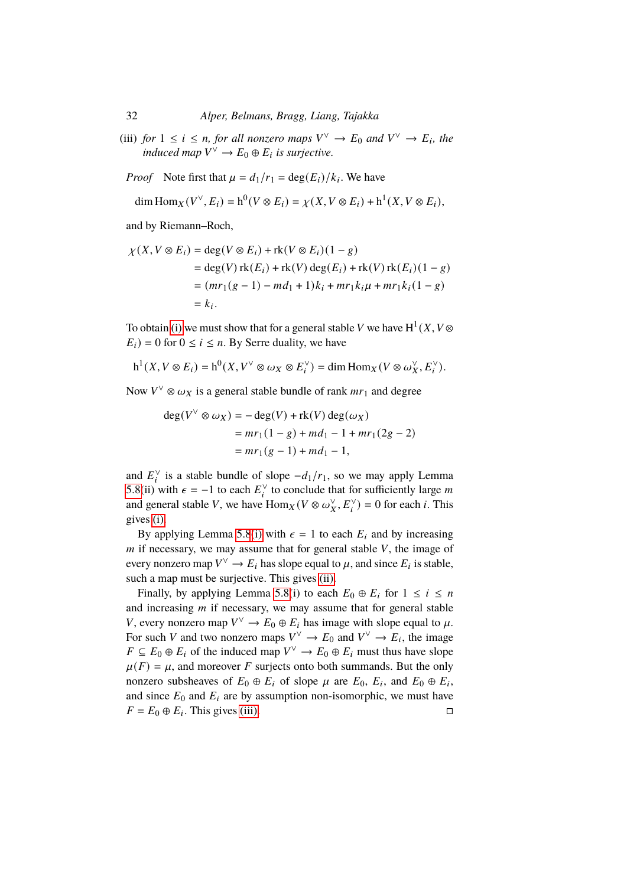<span id="page-31-0"></span>(iii) *for*  $1 \le i \le n$ *, for all nonzero maps*  $V^{\vee} \to E_0$  *and*  $V^{\vee} \to E_i$ *, the induced map*  $V^{\vee} \to E_0 \oplus E_i$  *is surjective.* 

*Proof* Note first that  $\mu = d_1/r_1 = \deg(E_i)/k_i$ . We have

$$
\dim \text{Hom}_X(V^{\vee}, E_i) = h^0(V \otimes E_i) = \chi(X, V \otimes E_i) + h^1(X, V \otimes E_i),
$$

and by Riemann–Roch,

$$
\chi(X, V \otimes E_i) = \deg(V \otimes E_i) + \text{rk}(V \otimes E_i)(1 - g)
$$
  
= deg(V)  $\text{rk}(E_i) + \text{rk}(V) \deg(E_i) + \text{rk}(V) \text{rk}(E_i)(1 - g)$   
=  $(mr_1(g - 1) - md_1 + 1)k_i + mr_1k_i\mu + mr_1k_i(1 - g)$   
=  $k_i$ .

To obtain [\(i\)](#page-30-0) we must show that for a general stable V we have  $H^1(X, V \otimes$  $E_i$ ) = 0 for  $0 \le i \le n$ . By Serre duality, we have

$$
h^1(X, V \otimes E_i) = h^0(X, V^{\vee} \otimes \omega_X \otimes E_i^{\vee}) = \dim \text{Hom}_X(V \otimes \omega_X^{\vee}, E_i^{\vee}).
$$

Now  $V^{\vee} \otimes \omega_X$  is a general stable bundle of rank  $mr_1$  and degree

$$
deg(V^{\vee} \otimes \omega_X) = -deg(V) + rk(V) deg(\omega_X)
$$
  
=  $mr_1(1-g) + md_1 - 1 + mr_1(2g - 2)$   
=  $mr_1(g - 1) + md_1 - 1$ ,

and  $E_i^{\vee}$  is a stable bundle of slope  $-d_1/r_1$ , so we may apply Lemma [5.8\(](#page-28-3)ii) with  $\epsilon = -1$  to each  $E_i^{\vee}$  to conclude that for sufficiently large m and general stable V, we have  $\text{Hom}_X(V \otimes \omega_X^{\vee}, E_i^{\vee}) = 0$  for each *i*. This gives [\(i\).](#page-30-0)

By applying Lemma [5.8](#page-28-3)[\(i\)](#page-28-0) with  $\epsilon = 1$  to each  $E_i$  and by increasing  *if necessary, we may assume that for general stable*  $*V*$ *, the image of* every nonzero map  $V^{\vee} \to E_i$  has slope equal to  $\mu$ , and since  $E_i$  is stable, such a map must be surjective. This gives [\(ii\).](#page-30-1)

Finally, by applying Lemma [5.8\(](#page-28-3)i) to each  $E_0 \oplus E_i$  for  $1 \le i \le n$ and increasing  *if necessary, we may assume that for general stable* V, every nonzero map  $V^{\vee} \to E_0 \oplus E_i$  has image with slope equal to  $\mu$ . For such V and two nonzero maps  $V^{\vee} \to E_0$  and  $V^{\vee} \to E_i$ , the image  $F \subseteq E_0 \oplus E_i$  of the induced map  $V^{\vee} \to E_0 \oplus E_i$  must thus have slope  $\mu(F) = \mu$ , and moreover F surjects onto both summands. But the only nonzero subsheaves of  $E_0 \oplus E_i$  of slope  $\mu$  are  $E_0$ ,  $E_i$ , and  $E_0 \oplus E_i$ , and since  $E_0$  and  $E_i$  are by assumption non-isomorphic, we must have  $F = E_0 \oplus E_i$ . This gives [\(iii\).](#page-31-0)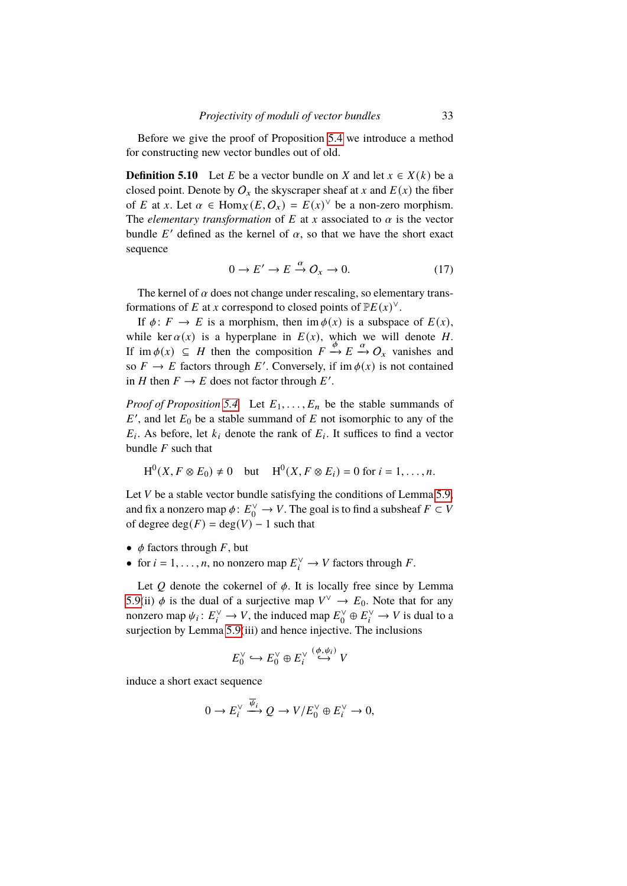Before we give the proof of Proposition [5.4](#page-26-1) we introduce a method for constructing new vector bundles out of old.

**Definition 5.10** Let E be a vector bundle on X and let  $x \in X(k)$  be a closed point. Denote by  $O_x$  the skyscraper sheaf at x and  $E(x)$  the fiber of E at x. Let  $\alpha \in \text{Hom}_X(E, Q_x) = E(x)^\vee$  be a non-zero morphism. The *elementary transformation* of  $E$  at  $x$  associated to  $\alpha$  is the vector bundle E' defined as the kernel of  $\alpha$ , so that we have the short exact sequence

$$
0 \to E' \to E \stackrel{\alpha}{\to} O_x \to 0. \tag{17}
$$

The kernel of  $\alpha$  does not change under rescaling, so elementary transformations of E at x correspond to closed points of  $\mathbb{P}E(x)^{\vee}$ .

If  $\phi: F \to E$  is a morphism, then im  $\phi(x)$  is a subspace of  $E(x)$ , while ker  $\alpha(x)$  is a hyperplane in  $E(x)$ , which we will denote  $H$ . If im  $\phi(x) \subseteq H$  then the composition  $F \xrightarrow{\phi} E \xrightarrow{\alpha} O_x$  vanishes and so  $F \to E$  factors through E'. Conversely, if im  $\phi(x)$  is not contained in H then  $F \to E$  does not factor through E'.

*Proof of Proposition* [5.4](#page-26-1) Let  $E_1, \ldots, E_n$  be the stable summands of  $E'$ , and let  $E_0$  be a stable summand of  $E$  not isomorphic to any of the  $E_i$ . As before, let  $k_i$  denote the rank of  $E_i$ . It suffices to find a vector bundle  $F$  such that

$$
H^0(X, F \otimes E_0) \neq 0
$$
 but  $H^0(X, F \otimes E_i) = 0$  for  $i = 1, ..., n$ .

Let  $V$  be a stable vector bundle satisfying the conditions of Lemma [5.9,](#page-30-2) and fix a nonzero map  $\phi: E_0^{\vee} \to V$ . The goal is to find a subsheaf  $F \subset V$ of degree  $deg(F) = deg(V) - 1$  such that

- $\phi$  factors through  $F$ , but
- for  $i = 1, ..., n$ , no nonzero map  $E_i^{\vee} \to V$  factors through F.

Let  $Q$  denote the cokernel of  $\phi$ . It is locally free since by Lemma [5.9\(](#page-30-2)ii)  $\phi$  is the dual of a surjective map  $V^{\vee} \to E_0$ . Note that for any nonzero map  $\psi_i \colon E_i^{\vee} \to V$ , the induced map  $E_0^{\vee} \oplus E_i^{\vee} \to V$  is dual to a surjection by Lemma [5.9\(](#page-30-2)iii) and hence injective. The inclusions

$$
E_0^{\vee} \hookrightarrow E_0^{\vee} \oplus E_i^{\vee} \stackrel{(\phi,\psi_i)}{\hookrightarrow} V
$$

induce a short exact sequence

$$
0 \to E_i^{\vee} \xrightarrow{\overline{\psi}_i} Q \to V/E_0^{\vee} \oplus E_i^{\vee} \to 0,
$$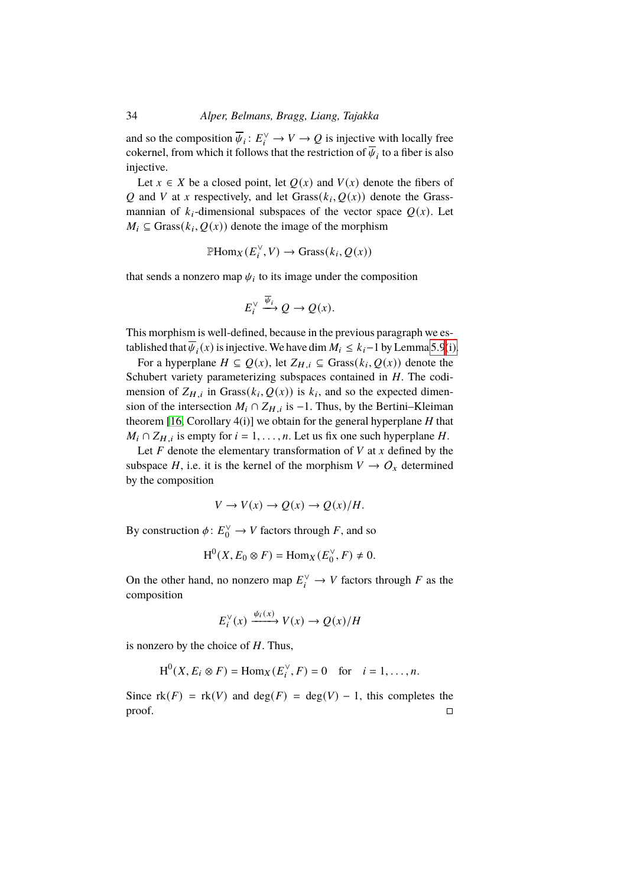and so the composition  $\overline{\psi}_i: E_i^{\vee} \to V \to Q$  is injective with locally free cokernel, from which it follows that the restriction of  $\overline{\psi}_i$  to a fiber is also injective.

Let  $x \in X$  be a closed point, let  $Q(x)$  and  $V(x)$  denote the fibers of Q and V at x respectively, and let  $Grass(k_i, Q(x))$  denote the Grassmannian of  $k_i$ -dimensional subspaces of the vector space  $Q(x)$ . Let  $M_i \subseteq$  Grass $(k_i, Q(x))$  denote the image of the morphism

$$
\mathbb{P}\mathrm{Hom}_X(E_i^{\vee}, V) \to \mathrm{Grass}(k_i, Q(x))
$$

that sends a nonzero map  $\psi_i$  to its image under the composition

$$
E_i^{\vee} \xrightarrow{\overline{\psi}_i} Q \to Q(x).
$$

This morphism is well-defined, because in the previous paragraph we established that  $\overline{\psi}_i(x)$  is injective. We have dim  $M_i \leq k_i-1$  by Lemma [5.9](#page-30-2)[\(i\).](#page-30-0)

For a hyperplane  $H \subseteq Q(x)$ , let  $Z_{H,i} \subseteq \text{Grass}(k_i, Q(x))$  denote the Schubert variety parameterizing subspaces contained in  $H$ . The codimension of  $Z_{H,i}$  in Grass( $k_i, Q(x)$ ) is  $k_i$ , and so the expected dimension of the intersection  $M_i$  ∩  $Z_{H,i}$  is −1. Thus, by the Bertini–Kleiman theorem [\[16,](#page-35-9) Corollary 4(i)] we obtain for the general hyperplane  $H$  that  $M_i \cap Z_{H,i}$  is empty for  $i = 1, \ldots, n$ . Let us fix one such hyperplane H.

Let  $F$  denote the elementary transformation of  $V$  at  $x$  defined by the subspace H, i.e. it is the kernel of the morphism  $V \to O_x$  determined by the composition

$$
V \to V(x) \to Q(x) \to Q(x)/H.
$$

By construction  $\phi: E_0^{\vee} \to V$  factors through F, and so

$$
H^0(X, E_0 \otimes F) = \text{Hom}_X(E_0^{\vee}, F) \neq 0.
$$

On the other hand, no nonzero map  $E_i^{\vee} \to V$  factors through F as the composition

$$
E_i^{\vee}(x) \xrightarrow{\psi_i(x)} V(x) \to Q(x)/H
$$

is nonzero by the choice of  $H$ . Thus,

$$
H^{0}(X, E_{i} \otimes F) = \text{Hom}_{X}(E_{i}^{\vee}, F) = 0 \quad \text{for} \quad i = 1, \dots, n.
$$

Since  $rk(F) = rk(V)$  and  $deg(F) = deg(V) - 1$ , this completes the  $\Box$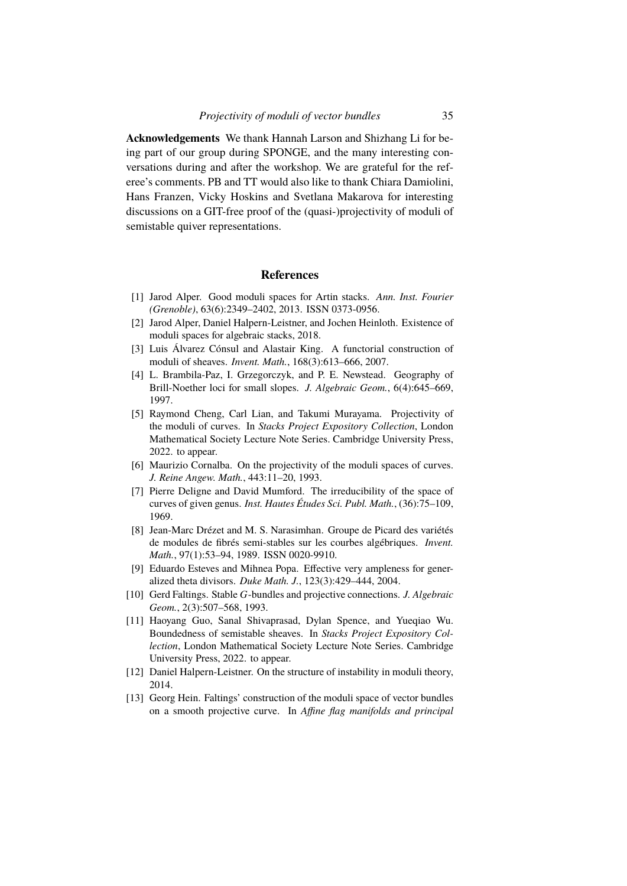**Acknowledgements** We thank Hannah Larson and Shizhang Li for being part of our group during SPONGE, and the many interesting conversations during and after the workshop. We are grateful for the referee's comments. PB and TT would also like to thank Chiara Damiolini, Hans Franzen, Vicky Hoskins and Svetlana Makarova for interesting discussions on a GIT-free proof of the (quasi-)projectivity of moduli of semistable quiver representations.

## **References**

- <span id="page-34-8"></span>[1] Jarod Alper. Good moduli spaces for Artin stacks. *Ann. Inst. Fourier (Grenoble)*, 63(6):2349–2402, 2013. ISSN 0373-0956.
- <span id="page-34-3"></span>[2] Jarod Alper, Daniel Halpern-Leistner, and Jochen Heinloth. Existence of moduli spaces for algebraic stacks, 2018.
- <span id="page-34-11"></span>[3] Luis Álvarez Cónsul and Alastair King. A functorial construction of moduli of sheaves. *Invent. Math.*, 168(3):613–666, 2007.
- <span id="page-34-12"></span>[4] L. Brambila-Paz, I. Grzegorczyk, and P. E. Newstead. Geography of Brill-Noether loci for small slopes. *J. Algebraic Geom.*, 6(4):645–669, 1997.
- <span id="page-34-2"></span>[5] Raymond Cheng, Carl Lian, and Takumi Murayama. Projectivity of the moduli of curves. In *Stacks Project Expository Collection*, London Mathematical Society Lecture Note Series. Cambridge University Press, 2022. to appear.
- <span id="page-34-1"></span>[6] Maurizio Cornalba. On the projectivity of the moduli spaces of curves. *J. Reine Angew. Math.*, 443:11–20, 1993.
- <span id="page-34-0"></span>[7] Pierre Deligne and David Mumford. The irreducibility of the space of curves of given genus. *Inst. Hautes Études Sci. Publ. Math.*, (36):75–109, 1969.
- <span id="page-34-10"></span>[8] Jean-Marc Drézet and M. S. Narasimhan. Groupe de Picard des variétés de modules de fibrés semi-stables sur les courbes algébriques. *Invent. Math.*, 97(1):53–94, 1989. ISSN 0020-9910.
- <span id="page-34-4"></span>[9] Eduardo Esteves and Mihnea Popa. Effective very ampleness for generalized theta divisors. *Duke Math. J.*, 123(3):429–444, 2004.
- <span id="page-34-5"></span>[10] Gerd Faltings. Stable G-bundles and projective connections. *J. Algebraic Geom.*, 2(3):507–568, 1993.
- <span id="page-34-7"></span>[11] Haoyang Guo, Sanal Shivaprasad, Dylan Spence, and Yueqiao Wu. Boundedness of semistable sheaves. In *Stacks Project Expository Collection*, London Mathematical Society Lecture Note Series. Cambridge University Press, 2022. to appear.
- <span id="page-34-9"></span>[12] Daniel Halpern-Leistner. On the structure of instability in moduli theory, 2014.
- <span id="page-34-6"></span>[13] Georg Hein. Faltings' construction of the moduli space of vector bundles on a smooth projective curve. In *Affine flag manifolds and principal*